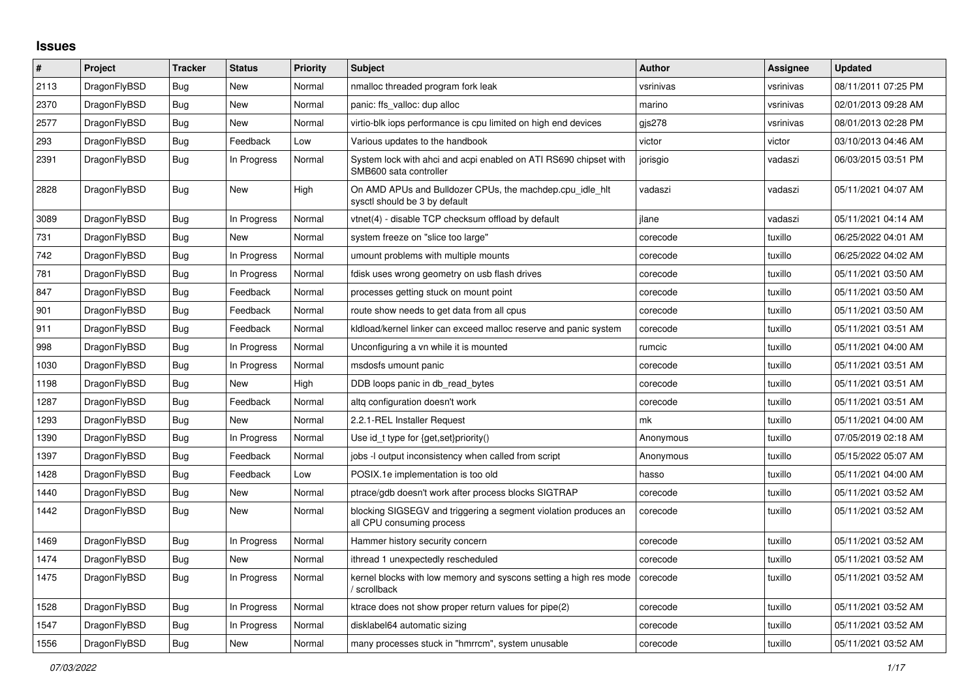## **Issues**

| $\vert$ # | Project      | Tracker    | <b>Status</b> | <b>Priority</b> | <b>Subject</b>                                                                               | <b>Author</b> | Assignee  | <b>Updated</b>      |
|-----------|--------------|------------|---------------|-----------------|----------------------------------------------------------------------------------------------|---------------|-----------|---------------------|
| 2113      | DragonFlyBSD | Bug        | New           | Normal          | nmalloc threaded program fork leak                                                           | vsrinivas     | vsrinivas | 08/11/2011 07:25 PM |
| 2370      | DragonFlyBSD | Bug        | <b>New</b>    | Normal          | panic: ffs valloc: dup alloc                                                                 | marino        | vsrinivas | 02/01/2013 09:28 AM |
| 2577      | DragonFlyBSD | Bug        | New           | Normal          | virtio-blk iops performance is cpu limited on high end devices                               | gis278        | vsrinivas | 08/01/2013 02:28 PM |
| 293       | DragonFlyBSD | Bug        | Feedback      | Low             | Various updates to the handbook                                                              | victor        | victor    | 03/10/2013 04:46 AM |
| 2391      | DragonFlyBSD | Bug        | In Progress   | Normal          | System lock with ahci and acpi enabled on ATI RS690 chipset with<br>SMB600 sata controller   | jorisgio      | vadaszi   | 06/03/2015 03:51 PM |
| 2828      | DragonFlyBSD | Bug        | <b>New</b>    | High            | On AMD APUs and Bulldozer CPUs, the machdep.cpu_idle_hlt<br>sysctl should be 3 by default    | vadaszi       | vadaszi   | 05/11/2021 04:07 AM |
| 3089      | DragonFlyBSD | Bug        | In Progress   | Normal          | vtnet(4) - disable TCP checksum offload by default                                           | ilane         | vadaszi   | 05/11/2021 04:14 AM |
| 731       | DragonFlyBSD | Bug        | New           | Normal          | system freeze on "slice too large"                                                           | corecode      | tuxillo   | 06/25/2022 04:01 AM |
| 742       | DragonFlyBSD | <b>Bug</b> | In Progress   | Normal          | umount problems with multiple mounts                                                         | corecode      | tuxillo   | 06/25/2022 04:02 AM |
| 781       | DragonFlyBSD | Bug        | In Progress   | Normal          | fdisk uses wrong geometry on usb flash drives                                                | corecode      | tuxillo   | 05/11/2021 03:50 AM |
| 847       | DragonFlyBSD | <b>Bug</b> | Feedback      | Normal          | processes getting stuck on mount point                                                       | corecode      | tuxillo   | 05/11/2021 03:50 AM |
| 901       | DragonFlyBSD | Bug        | Feedback      | Normal          | route show needs to get data from all cpus                                                   | corecode      | tuxillo   | 05/11/2021 03:50 AM |
| 911       | DragonFlyBSD | <b>Bug</b> | Feedback      | Normal          | kidload/kernel linker can exceed malloc reserve and panic system                             | corecode      | tuxillo   | 05/11/2021 03:51 AM |
| 998       | DragonFlyBSD | Bug        | In Progress   | Normal          | Unconfiguring a vn while it is mounted                                                       | rumcic        | tuxillo   | 05/11/2021 04:00 AM |
| 1030      | DragonFlyBSD | Bug        | In Progress   | Normal          | msdosfs umount panic                                                                         | corecode      | tuxillo   | 05/11/2021 03:51 AM |
| 1198      | DragonFlyBSD | <b>Bug</b> | New           | High            | DDB loops panic in db_read_bytes                                                             | corecode      | tuxillo   | 05/11/2021 03:51 AM |
| 1287      | DragonFlyBSD | Bug        | Feedback      | Normal          | altg configuration doesn't work                                                              | corecode      | tuxillo   | 05/11/2021 03:51 AM |
| 1293      | DragonFlyBSD | Bug        | New           | Normal          | 2.2.1-REL Installer Request                                                                  | mk            | tuxillo   | 05/11/2021 04:00 AM |
| 1390      | DragonFlyBSD | <b>Bug</b> | In Progress   | Normal          | Use id_t type for {get,set}priority()                                                        | Anonymous     | tuxillo   | 07/05/2019 02:18 AM |
| 1397      | DragonFlyBSD | Bug        | Feedback      | Normal          | jobs -I output inconsistency when called from script                                         | Anonymous     | tuxillo   | 05/15/2022 05:07 AM |
| 1428      | DragonFlyBSD | <b>Bug</b> | Feedback      | Low             | POSIX.1e implementation is too old                                                           | hasso         | tuxillo   | 05/11/2021 04:00 AM |
| 1440      | DragonFlyBSD | Bug        | New           | Normal          | ptrace/gdb doesn't work after process blocks SIGTRAP                                         | corecode      | tuxillo   | 05/11/2021 03:52 AM |
| 1442      | DragonFlyBSD | Bug        | <b>New</b>    | Normal          | blocking SIGSEGV and triggering a segment violation produces an<br>all CPU consuming process | corecode      | tuxillo   | 05/11/2021 03:52 AM |
| 1469      | DragonFlyBSD | Bug        | In Progress   | Normal          | Hammer history security concern                                                              | corecode      | tuxillo   | 05/11/2021 03:52 AM |
| 1474      | DragonFlyBSD | Bug        | New           | Normal          | ithread 1 unexpectedly rescheduled                                                           | corecode      | tuxillo   | 05/11/2021 03:52 AM |
| 1475      | DragonFlyBSD | <b>Bug</b> | In Progress   | Normal          | kernel blocks with low memory and syscons setting a high res mode<br>/ scrollback            | corecode      | tuxillo   | 05/11/2021 03:52 AM |
| 1528      | DragonFlyBSD | <b>Bug</b> | In Progress   | Normal          | ktrace does not show proper return values for pipe(2)                                        | corecode      | tuxillo   | 05/11/2021 03:52 AM |
| 1547      | DragonFlyBSD | <b>Bug</b> | In Progress   | Normal          | disklabel64 automatic sizing                                                                 | corecode      | tuxillo   | 05/11/2021 03:52 AM |
| 1556      | DragonFlyBSD | Bug        | New           | Normal          | many processes stuck in "hmrrcm", system unusable                                            | corecode      | tuxillo   | 05/11/2021 03:52 AM |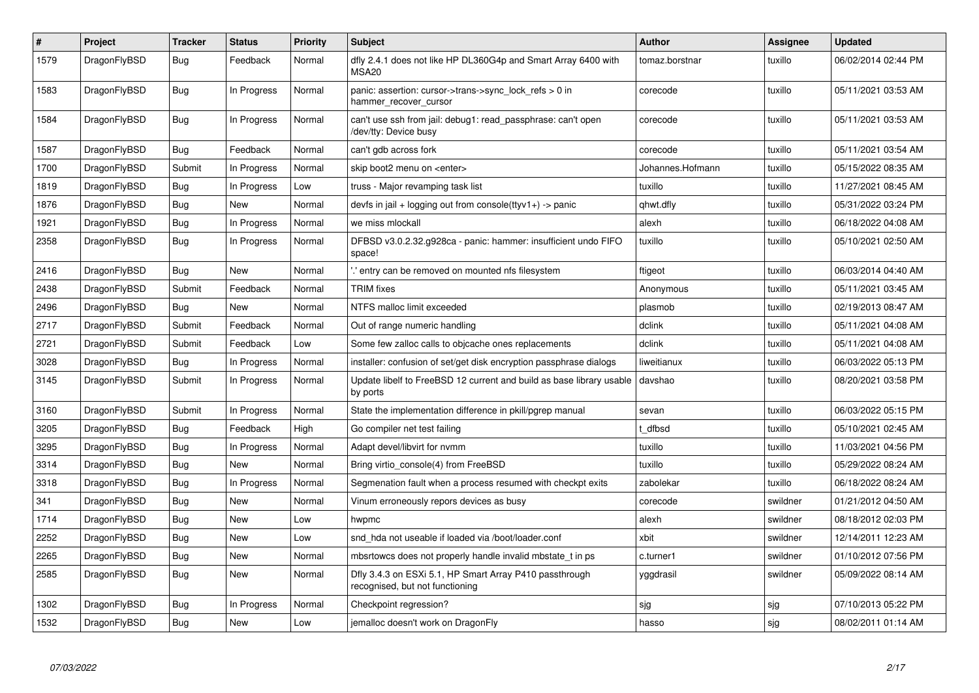| $\vert$ # | Project      | <b>Tracker</b> | <b>Status</b> | <b>Priority</b> | <b>Subject</b>                                                                             | <b>Author</b>    | <b>Assignee</b> | Updated             |
|-----------|--------------|----------------|---------------|-----------------|--------------------------------------------------------------------------------------------|------------------|-----------------|---------------------|
| 1579      | DragonFlyBSD | <b>Bug</b>     | Feedback      | Normal          | dfly 2.4.1 does not like HP DL360G4p and Smart Array 6400 with<br>MSA <sub>20</sub>        | tomaz.borstnar   | tuxillo         | 06/02/2014 02:44 PM |
| 1583      | DragonFlyBSD | <b>Bug</b>     | In Progress   | Normal          | panic: assertion: cursor->trans->sync lock refs $> 0$ in<br>hammer recover cursor          | corecode         | tuxillo         | 05/11/2021 03:53 AM |
| 1584      | DragonFlyBSD | Bug            | In Progress   | Normal          | can't use ssh from jail: debug1: read passphrase: can't open<br>/dev/tty: Device busy      | corecode         | tuxillo         | 05/11/2021 03:53 AM |
| 1587      | DragonFlyBSD | <b>Bug</b>     | Feedback      | Normal          | can't gdb across fork                                                                      | corecode         | tuxillo         | 05/11/2021 03:54 AM |
| 1700      | DragonFlyBSD | Submit         | In Progress   | Normal          | skip boot2 menu on <enter></enter>                                                         | Johannes.Hofmann | tuxillo         | 05/15/2022 08:35 AM |
| 1819      | DragonFlyBSD | <b>Bug</b>     | In Progress   | Low             | truss - Major revamping task list                                                          | tuxillo          | tuxillo         | 11/27/2021 08:45 AM |
| 1876      | DragonFlyBSD | <b>Bug</b>     | <b>New</b>    | Normal          | devfs in jail + logging out from console(ttyv1+) -> panic                                  | qhwt.dfly        | tuxillo         | 05/31/2022 03:24 PM |
| 1921      | DragonFlyBSD | <b>Bug</b>     | In Progress   | Normal          | we miss mlockall                                                                           | alexh            | tuxillo         | 06/18/2022 04:08 AM |
| 2358      | DragonFlyBSD | Bug            | In Progress   | Normal          | DFBSD v3.0.2.32.g928ca - panic: hammer: insufficient undo FIFO<br>space!                   | tuxillo          | tuxillo         | 05/10/2021 02:50 AM |
| 2416      | DragonFlyBSD | <b>Bug</b>     | <b>New</b>    | Normal          | ".' entry can be removed on mounted nfs filesystem                                         | ftigeot          | tuxillo         | 06/03/2014 04:40 AM |
| 2438      | DragonFlyBSD | Submit         | Feedback      | Normal          | <b>TRIM</b> fixes                                                                          | Anonymous        | tuxillo         | 05/11/2021 03:45 AM |
| 2496      | DragonFlyBSD | Bug            | New           | Normal          | NTFS malloc limit exceeded                                                                 | plasmob          | tuxillo         | 02/19/2013 08:47 AM |
| 2717      | DragonFlyBSD | Submit         | Feedback      | Normal          | Out of range numeric handling                                                              | dclink           | tuxillo         | 05/11/2021 04:08 AM |
| 2721      | DragonFlyBSD | Submit         | Feedback      | Low             | Some few zalloc calls to objcache ones replacements                                        | dclink           | tuxillo         | 05/11/2021 04:08 AM |
| 3028      | DragonFlyBSD | <b>Bug</b>     | In Progress   | Normal          | installer: confusion of set/get disk encryption passphrase dialogs                         | liweitianux      | tuxillo         | 06/03/2022 05:13 PM |
| 3145      | DragonFlyBSD | Submit         | In Progress   | Normal          | Update libelf to FreeBSD 12 current and build as base library usable<br>by ports           | davshao          | tuxillo         | 08/20/2021 03:58 PM |
| 3160      | DragonFlyBSD | Submit         | In Progress   | Normal          | State the implementation difference in pkill/pgrep manual                                  | sevan            | tuxillo         | 06/03/2022 05:15 PM |
| 3205      | DragonFlyBSD | Bug            | Feedback      | High            | Go compiler net test failing                                                               | t dfbsd          | tuxillo         | 05/10/2021 02:45 AM |
| 3295      | DragonFlyBSD | <b>Bug</b>     | In Progress   | Normal          | Adapt devel/libvirt for nvmm                                                               | tuxillo          | tuxillo         | 11/03/2021 04:56 PM |
| 3314      | DragonFlyBSD | Bug            | New           | Normal          | Bring virtio console(4) from FreeBSD                                                       | tuxillo          | tuxillo         | 05/29/2022 08:24 AM |
| 3318      | DragonFlyBSD | <b>Bug</b>     | In Progress   | Normal          | Segmenation fault when a process resumed with checkpt exits                                | zabolekar        | tuxillo         | 06/18/2022 08:24 AM |
| 341       | DragonFlyBSD | Bug            | <b>New</b>    | Normal          | Vinum erroneously repors devices as busy                                                   | corecode         | swildner        | 01/21/2012 04:50 AM |
| 1714      | DragonFlyBSD | <b>Bug</b>     | <b>New</b>    | Low             | hwpmc                                                                                      | alexh            | swildner        | 08/18/2012 02:03 PM |
| 2252      | DragonFlyBSD | <b>Bug</b>     | New           | Low             | snd hda not useable if loaded via /boot/loader.conf                                        | xbit             | swildner        | 12/14/2011 12:23 AM |
| 2265      | DragonFlyBSD | Bug            | New           | Normal          | mbsrtowcs does not properly handle invalid mbstate_t in ps                                 | c.turner1        | swildner        | 01/10/2012 07:56 PM |
| 2585      | DragonFlyBSD | Bug            | New           | Normal          | Dfly 3.4.3 on ESXi 5.1, HP Smart Array P410 passthrough<br>recognised, but not functioning | yggdrasil        | swildner        | 05/09/2022 08:14 AM |
| 1302      | DragonFlyBSD | <b>Bug</b>     | In Progress   | Normal          | Checkpoint regression?                                                                     | sjg              | sjg             | 07/10/2013 05:22 PM |
| 1532      | DragonFlyBSD | <b>Bug</b>     | New           | Low             | jemalloc doesn't work on DragonFly                                                         | hasso            | sjg             | 08/02/2011 01:14 AM |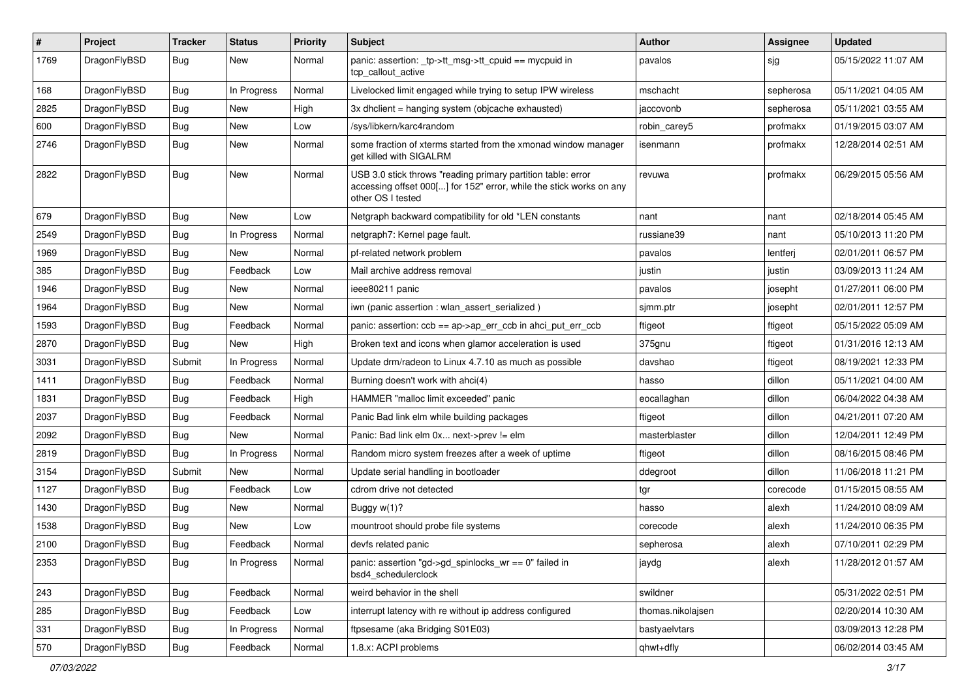| $\sharp$ | Project      | <b>Tracker</b> | <b>Status</b> | <b>Priority</b> | Subject                                                                                                                                                  | <b>Author</b>     | Assignee  | <b>Updated</b>      |
|----------|--------------|----------------|---------------|-----------------|----------------------------------------------------------------------------------------------------------------------------------------------------------|-------------------|-----------|---------------------|
| 1769     | DragonFlyBSD | Bug            | New           | Normal          | panic: assertion: _tp->tt_msg->tt_cpuid == mycpuid in<br>tcp_callout_active                                                                              | pavalos           | sjg       | 05/15/2022 11:07 AM |
| 168      | DragonFlyBSD | <b>Bug</b>     | In Progress   | Normal          | Livelocked limit engaged while trying to setup IPW wireless                                                                                              | mschacht          | sepherosa | 05/11/2021 04:05 AM |
| 2825     | DragonFlyBSD | <b>Bug</b>     | New           | High            | 3x dhclient = hanging system (objcache exhausted)                                                                                                        | jaccovonb         | sepherosa | 05/11/2021 03:55 AM |
| 600      | DragonFlyBSD | Bug            | New           | Low             | /sys/libkern/karc4random                                                                                                                                 | robin_carey5      | profmakx  | 01/19/2015 03:07 AM |
| 2746     | DragonFlyBSD | <b>Bug</b>     | New           | Normal          | some fraction of xterms started from the xmonad window manager<br>get killed with SIGALRM                                                                | isenmann          | profmakx  | 12/28/2014 02:51 AM |
| 2822     | DragonFlyBSD | Bug            | New           | Normal          | USB 3.0 stick throws "reading primary partition table: error<br>accessing offset 000[] for 152" error, while the stick works on any<br>other OS I tested | revuwa            | profmakx  | 06/29/2015 05:56 AM |
| 679      | DragonFlyBSD | <b>Bug</b>     | New           | Low             | Netgraph backward compatibility for old *LEN constants                                                                                                   | nant              | nant      | 02/18/2014 05:45 AM |
| 2549     | DragonFlyBSD | <b>Bug</b>     | In Progress   | Normal          | netgraph7: Kernel page fault.                                                                                                                            | russiane39        | nant      | 05/10/2013 11:20 PM |
| 1969     | DragonFlyBSD | Bug            | New           | Normal          | pf-related network problem                                                                                                                               | pavalos           | lentferj  | 02/01/2011 06:57 PM |
| 385      | DragonFlyBSD | <b>Bug</b>     | Feedback      | Low             | Mail archive address removal                                                                                                                             | justin            | justin    | 03/09/2013 11:24 AM |
| 1946     | DragonFlyBSD | Bug            | <b>New</b>    | Normal          | ieee80211 panic                                                                                                                                          | pavalos           | josepht   | 01/27/2011 06:00 PM |
| 1964     | DragonFlyBSD | <b>Bug</b>     | New           | Normal          | iwn (panic assertion : wlan assert serialized)                                                                                                           | sjmm.ptr          | josepht   | 02/01/2011 12:57 PM |
| 1593     | DragonFlyBSD | <b>Bug</b>     | Feedback      | Normal          | panic: assertion: ccb == ap->ap_err_ccb in ahci_put_err_ccb                                                                                              | ftigeot           | ftigeot   | 05/15/2022 05:09 AM |
| 2870     | DragonFlyBSD | Bug            | New           | High            | Broken text and icons when glamor acceleration is used                                                                                                   | 375gnu            | ftigeot   | 01/31/2016 12:13 AM |
| 3031     | DragonFlyBSD | Submit         | In Progress   | Normal          | Update drm/radeon to Linux 4.7.10 as much as possible                                                                                                    | davshao           | ftigeot   | 08/19/2021 12:33 PM |
| 1411     | DragonFlyBSD | <b>Bug</b>     | Feedback      | Normal          | Burning doesn't work with ahci(4)                                                                                                                        | hasso             | dillon    | 05/11/2021 04:00 AM |
| 1831     | DragonFlyBSD | <b>Bug</b>     | Feedback      | High            | HAMMER "malloc limit exceeded" panic                                                                                                                     | eocallaghan       | dillon    | 06/04/2022 04:38 AM |
| 2037     | DragonFlyBSD | <b>Bug</b>     | Feedback      | Normal          | Panic Bad link elm while building packages                                                                                                               | ftigeot           | dillon    | 04/21/2011 07:20 AM |
| 2092     | DragonFlyBSD | <b>Bug</b>     | <b>New</b>    | Normal          | Panic: Bad link elm 0x next->prev != elm                                                                                                                 | masterblaster     | dillon    | 12/04/2011 12:49 PM |
| 2819     | DragonFlyBSD | <b>Bug</b>     | In Progress   | Normal          | Random micro system freezes after a week of uptime                                                                                                       | ftigeot           | dillon    | 08/16/2015 08:46 PM |
| 3154     | DragonFlyBSD | Submit         | New           | Normal          | Update serial handling in bootloader                                                                                                                     | ddegroot          | dillon    | 11/06/2018 11:21 PM |
| 1127     | DragonFlyBSD | Bug            | Feedback      | Low             | cdrom drive not detected                                                                                                                                 | tgr               | corecode  | 01/15/2015 08:55 AM |
| 1430     | DragonFlyBSD | <b>Bug</b>     | New           | Normal          | Buggy w(1)?                                                                                                                                              | hasso             | alexh     | 11/24/2010 08:09 AM |
| 1538     | DragonFlyBSD | <b>Bug</b>     | New           | Low             | mountroot should probe file systems                                                                                                                      | corecode          | alexh     | 11/24/2010 06:35 PM |
| 2100     | DragonFlyBSD | <b>Bug</b>     | Feedback      | Normal          | devfs related panic                                                                                                                                      | sepherosa         | alexh     | 07/10/2011 02:29 PM |
| 2353     | DragonFlyBSD | <b>Bug</b>     | In Progress   | Normal          | panic: assertion "gd->gd_spinlocks_wr == 0" failed in<br>bsd4 schedulerclock                                                                             | jaydg             | alexh     | 11/28/2012 01:57 AM |
| 243      | DragonFlyBSD | <b>Bug</b>     | Feedback      | Normal          | weird behavior in the shell                                                                                                                              | swildner          |           | 05/31/2022 02:51 PM |
| 285      | DragonFlyBSD | <b>Bug</b>     | Feedback      | Low             | interrupt latency with re without ip address configured                                                                                                  | thomas.nikolajsen |           | 02/20/2014 10:30 AM |
| 331      | DragonFlyBSD | <b>Bug</b>     | In Progress   | Normal          | ftpsesame (aka Bridging S01E03)                                                                                                                          | bastyaelvtars     |           | 03/09/2013 12:28 PM |
| 570      | DragonFlyBSD | <b>Bug</b>     | Feedback      | Normal          | 1.8.x: ACPI problems                                                                                                                                     | qhwt+dfly         |           | 06/02/2014 03:45 AM |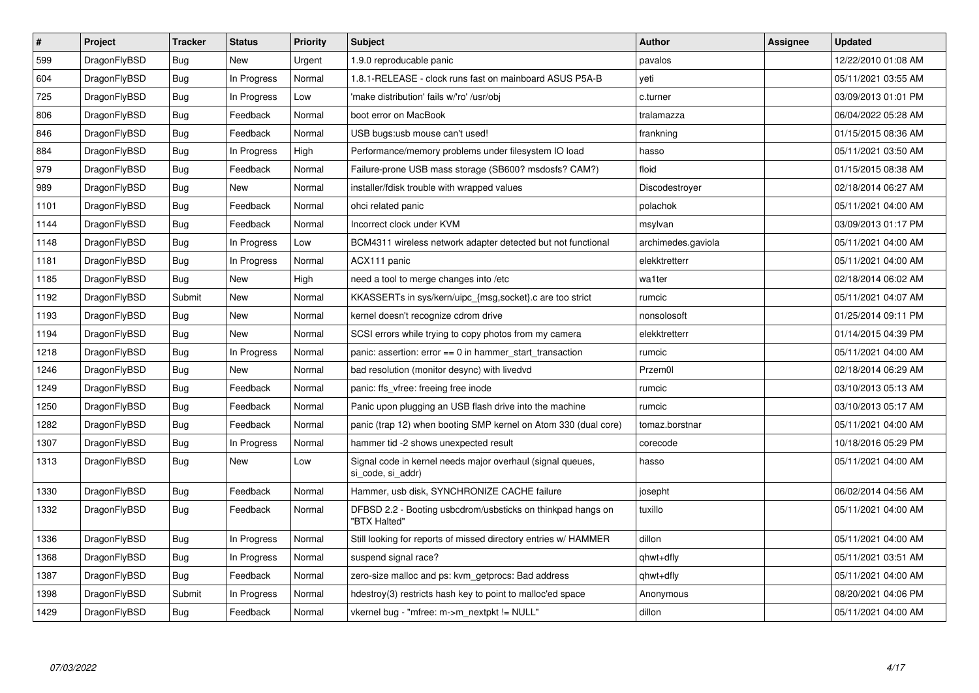| $\#$ | Project      | <b>Tracker</b> | <b>Status</b> | <b>Priority</b> | Subject                                                                         | <b>Author</b>      | Assignee | Updated             |
|------|--------------|----------------|---------------|-----------------|---------------------------------------------------------------------------------|--------------------|----------|---------------------|
| 599  | DragonFlyBSD | <b>Bug</b>     | <b>New</b>    | Urgent          | 1.9.0 reproducable panic                                                        | pavalos            |          | 12/22/2010 01:08 AM |
| 604  | DragonFlyBSD | <b>Bug</b>     | In Progress   | Normal          | 1.8.1-RELEASE - clock runs fast on mainboard ASUS P5A-B                         | veti               |          | 05/11/2021 03:55 AM |
| 725  | DragonFlyBSD | Bug            | In Progress   | Low             | 'make distribution' fails w/'ro' /usr/obj                                       | c.turner           |          | 03/09/2013 01:01 PM |
| 806  | DragonFlyBSD | <b>Bug</b>     | Feedback      | Normal          | boot error on MacBook                                                           | tralamazza         |          | 06/04/2022 05:28 AM |
| 846  | DragonFlyBSD | <b>Bug</b>     | Feedback      | Normal          | USB bugs:usb mouse can't used!                                                  | frankning          |          | 01/15/2015 08:36 AM |
| 884  | DragonFlyBSD | Bug            | In Progress   | High            | Performance/memory problems under filesystem IO load                            | hasso              |          | 05/11/2021 03:50 AM |
| 979  | DragonFlyBSD | <b>Bug</b>     | Feedback      | Normal          | Failure-prone USB mass storage (SB600? msdosfs? CAM?)                           | floid              |          | 01/15/2015 08:38 AM |
| 989  | DragonFlyBSD | <b>Bug</b>     | <b>New</b>    | Normal          | installer/fdisk trouble with wrapped values                                     | Discodestroyer     |          | 02/18/2014 06:27 AM |
| 1101 | DragonFlyBSD | <b>Bug</b>     | Feedback      | Normal          | ohci related panic                                                              | polachok           |          | 05/11/2021 04:00 AM |
| 1144 | DragonFlyBSD | <b>Bug</b>     | Feedback      | Normal          | Incorrect clock under KVM                                                       | msylvan            |          | 03/09/2013 01:17 PM |
| 1148 | DragonFlyBSD | Bug            | In Progress   | Low             | BCM4311 wireless network adapter detected but not functional                    | archimedes.gaviola |          | 05/11/2021 04:00 AM |
| 1181 | DragonFlyBSD | Bug            | In Progress   | Normal          | ACX111 panic                                                                    | elekktretterr      |          | 05/11/2021 04:00 AM |
| 1185 | DragonFlyBSD | <b>Bug</b>     | <b>New</b>    | High            | need a tool to merge changes into /etc                                          | wa1ter             |          | 02/18/2014 06:02 AM |
| 1192 | DragonFlyBSD | Submit         | <b>New</b>    | Normal          | KKASSERTs in sys/kern/uipc {msg,socket}.c are too strict                        | rumcic             |          | 05/11/2021 04:07 AM |
| 1193 | DragonFlyBSD | <b>Bug</b>     | <b>New</b>    | Normal          | kernel doesn't recognize cdrom drive                                            | nonsolosoft        |          | 01/25/2014 09:11 PM |
| 1194 | DragonFlyBSD | Bug            | New           | Normal          | SCSI errors while trying to copy photos from my camera                          | elekktretterr      |          | 01/14/2015 04:39 PM |
| 1218 | DragonFlyBSD | <b>Bug</b>     | In Progress   | Normal          | panic: assertion: $error == 0$ in hammer start transaction                      | rumcic             |          | 05/11/2021 04:00 AM |
| 1246 | DragonFlyBSD | <b>Bug</b>     | New           | Normal          | bad resolution (monitor desync) with livedvd                                    | Przem0l            |          | 02/18/2014 06:29 AM |
| 1249 | DragonFlyBSD | Bug            | Feedback      | Normal          | panic: ffs_vfree: freeing free inode                                            | rumcic             |          | 03/10/2013 05:13 AM |
| 1250 | DragonFlyBSD | <b>Bug</b>     | Feedback      | Normal          | Panic upon plugging an USB flash drive into the machine                         | rumcic             |          | 03/10/2013 05:17 AM |
| 1282 | DragonFlyBSD | <b>Bug</b>     | Feedback      | Normal          | panic (trap 12) when booting SMP kernel on Atom 330 (dual core)                 | tomaz.borstnar     |          | 05/11/2021 04:00 AM |
| 1307 | DragonFlyBSD | Bug            | In Progress   | Normal          | hammer tid -2 shows unexpected result                                           | corecode           |          | 10/18/2016 05:29 PM |
| 1313 | DragonFlyBSD | <b>Bug</b>     | New           | Low             | Signal code in kernel needs major overhaul (signal queues,<br>si code, si addr) | hasso              |          | 05/11/2021 04:00 AM |
| 1330 | DragonFlyBSD | <b>Bug</b>     | Feedback      | Normal          | Hammer, usb disk, SYNCHRONIZE CACHE failure                                     | josepht            |          | 06/02/2014 04:56 AM |
| 1332 | DragonFlyBSD | <b>Bug</b>     | Feedback      | Normal          | DFBSD 2.2 - Booting usbcdrom/usbsticks on thinkpad hangs on<br>"BTX Halted"     | tuxillo            |          | 05/11/2021 04:00 AM |
| 1336 | DragonFlyBSD | Bug            | In Progress   | Normal          | Still looking for reports of missed directory entries w/ HAMMER                 | dillon             |          | 05/11/2021 04:00 AM |
| 1368 | DragonFlyBSD | <b>Bug</b>     | In Progress   | Normal          | suspend signal race?                                                            | qhwt+dfly          |          | 05/11/2021 03:51 AM |
| 1387 | DragonFlyBSD | <b>Bug</b>     | Feedback      | Normal          | zero-size malloc and ps: kvm getprocs: Bad address                              | qhwt+dfly          |          | 05/11/2021 04:00 AM |
| 1398 | DragonFlyBSD | Submit         | In Progress   | Normal          | hdestroy(3) restricts hash key to point to malloc'ed space                      | Anonymous          |          | 08/20/2021 04:06 PM |
| 1429 | DragonFlyBSD | <b>Bug</b>     | Feedback      | Normal          | vkernel bug - "mfree: m->m_nextpkt != NULL"                                     | dillon             |          | 05/11/2021 04:00 AM |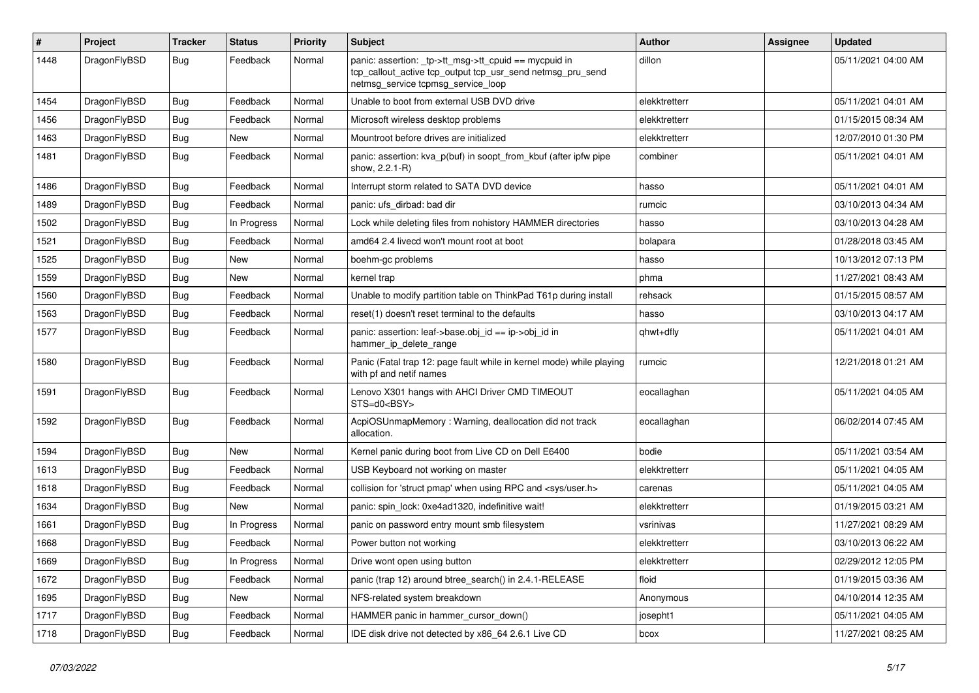| $\pmb{\#}$ | Project      | <b>Tracker</b> | <b>Status</b> | <b>Priority</b> | Subject                                                                                                                                                   | Author        | Assignee | <b>Updated</b>      |
|------------|--------------|----------------|---------------|-----------------|-----------------------------------------------------------------------------------------------------------------------------------------------------------|---------------|----------|---------------------|
| 1448       | DragonFlyBSD | Bug            | Feedback      | Normal          | panic: assertion: _tp->tt_msg->tt_cpuid == mycpuid in<br>tcp_callout_active tcp_output tcp_usr_send netmsg_pru_send<br>netmsg_service tcpmsg_service_loop | dillon        |          | 05/11/2021 04:00 AM |
| 1454       | DragonFlyBSD | Bug            | Feedback      | Normal          | Unable to boot from external USB DVD drive                                                                                                                | elekktretterr |          | 05/11/2021 04:01 AM |
| 1456       | DragonFlyBSD | <b>Bug</b>     | Feedback      | Normal          | Microsoft wireless desktop problems                                                                                                                       | elekktretterr |          | 01/15/2015 08:34 AM |
| 1463       | DragonFlyBSD | <b>Bug</b>     | New           | Normal          | Mountroot before drives are initialized                                                                                                                   | elekktretterr |          | 12/07/2010 01:30 PM |
| 1481       | DragonFlyBSD | Bug            | Feedback      | Normal          | panic: assertion: kva_p(buf) in soopt_from_kbuf (after ipfw pipe<br>show, 2.2.1-R)                                                                        | combiner      |          | 05/11/2021 04:01 AM |
| 1486       | DragonFlyBSD | <b>Bug</b>     | Feedback      | Normal          | Interrupt storm related to SATA DVD device                                                                                                                | hasso         |          | 05/11/2021 04:01 AM |
| 1489       | DragonFlyBSD | Bug            | Feedback      | Normal          | panic: ufs dirbad: bad dir                                                                                                                                | rumcic        |          | 03/10/2013 04:34 AM |
| 1502       | DragonFlyBSD | <b>Bug</b>     | In Progress   | Normal          | Lock while deleting files from nohistory HAMMER directories                                                                                               | hasso         |          | 03/10/2013 04:28 AM |
| 1521       | DragonFlyBSD | Bug            | Feedback      | Normal          | amd64 2.4 livecd won't mount root at boot                                                                                                                 | bolapara      |          | 01/28/2018 03:45 AM |
| 1525       | DragonFlyBSD | <b>Bug</b>     | <b>New</b>    | Normal          | boehm-gc problems                                                                                                                                         | hasso         |          | 10/13/2012 07:13 PM |
| 1559       | DragonFlyBSD | <b>Bug</b>     | New           | Normal          | kernel trap                                                                                                                                               | phma          |          | 11/27/2021 08:43 AM |
| 1560       | DragonFlyBSD | <b>Bug</b>     | Feedback      | Normal          | Unable to modify partition table on ThinkPad T61p during install                                                                                          | rehsack       |          | 01/15/2015 08:57 AM |
| 1563       | DragonFlyBSD | <b>Bug</b>     | Feedback      | Normal          | reset(1) doesn't reset terminal to the defaults                                                                                                           | hasso         |          | 03/10/2013 04:17 AM |
| 1577       | DragonFlyBSD | Bug            | Feedback      | Normal          | panic: assertion: leaf->base.obj id == ip->obj id in<br>hammer_ip_delete_range                                                                            | qhwt+dfly     |          | 05/11/2021 04:01 AM |
| 1580       | DragonFlyBSD | Bug            | Feedback      | Normal          | Panic (Fatal trap 12: page fault while in kernel mode) while playing<br>with pf and netif names                                                           | rumcic        |          | 12/21/2018 01:21 AM |
| 1591       | DragonFlyBSD | <b>Bug</b>     | Feedback      | Normal          | Lenovo X301 hangs with AHCI Driver CMD TIMEOUT<br>STS=d0 <bsy></bsy>                                                                                      | eocallaghan   |          | 05/11/2021 04:05 AM |
| 1592       | DragonFlyBSD | Bug            | Feedback      | Normal          | AcpiOSUnmapMemory: Warning, deallocation did not track<br>allocation.                                                                                     | eocallaghan   |          | 06/02/2014 07:45 AM |
| 1594       | DragonFlyBSD | <b>Bug</b>     | <b>New</b>    | Normal          | Kernel panic during boot from Live CD on Dell E6400                                                                                                       | bodie         |          | 05/11/2021 03:54 AM |
| 1613       | DragonFlyBSD | <b>Bug</b>     | Feedback      | Normal          | USB Keyboard not working on master                                                                                                                        | elekktretterr |          | 05/11/2021 04:05 AM |
| 1618       | DragonFlyBSD | <b>Bug</b>     | Feedback      | Normal          | collision for 'struct pmap' when using RPC and <sys user.h=""></sys>                                                                                      | carenas       |          | 05/11/2021 04:05 AM |
| 1634       | DragonFlyBSD | <b>Bug</b>     | New           | Normal          | panic: spin lock: 0xe4ad1320, indefinitive wait!                                                                                                          | elekktretterr |          | 01/19/2015 03:21 AM |
| 1661       | DragonFlyBSD | <b>Bug</b>     | In Progress   | Normal          | panic on password entry mount smb filesystem                                                                                                              | vsrinivas     |          | 11/27/2021 08:29 AM |
| 1668       | DragonFlyBSD | <b>Bug</b>     | Feedback      | Normal          | Power button not working                                                                                                                                  | elekktretterr |          | 03/10/2013 06:22 AM |
| 1669       | DragonFlyBSD | Bug            | In Progress   | Normal          | Drive wont open using button                                                                                                                              | elekktretterr |          | 02/29/2012 12:05 PM |
| 1672       | DragonFlyBSD | Bug            | Feedback      | Normal          | panic (trap 12) around btree_search() in 2.4.1-RELEASE                                                                                                    | floid         |          | 01/19/2015 03:36 AM |
| 1695       | DragonFlyBSD | <b>Bug</b>     | New           | Normal          | NFS-related system breakdown                                                                                                                              | Anonymous     |          | 04/10/2014 12:35 AM |
| 1717       | DragonFlyBSD | Bug            | Feedback      | Normal          | HAMMER panic in hammer_cursor_down()                                                                                                                      | josepht1      |          | 05/11/2021 04:05 AM |
| 1718       | DragonFlyBSD | Bug            | Feedback      | Normal          | IDE disk drive not detected by x86_64 2.6.1 Live CD                                                                                                       | bcox          |          | 11/27/2021 08:25 AM |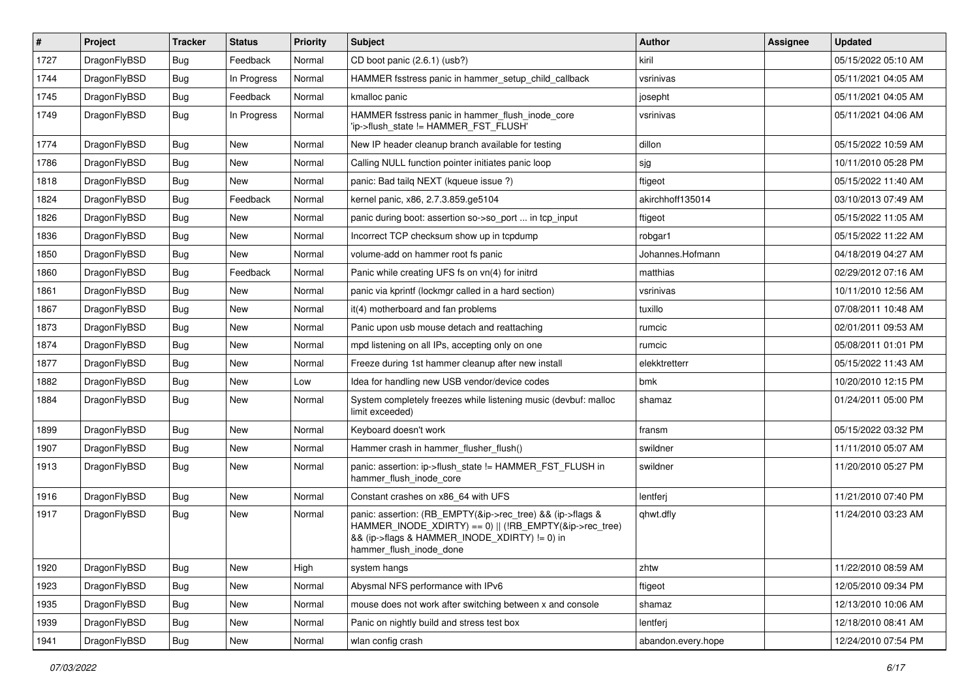| $\#$ | Project      | <b>Tracker</b> | <b>Status</b> | <b>Priority</b> | <b>Subject</b>                                                                                                                                                                                    | Author             | Assignee | <b>Updated</b>      |
|------|--------------|----------------|---------------|-----------------|---------------------------------------------------------------------------------------------------------------------------------------------------------------------------------------------------|--------------------|----------|---------------------|
| 1727 | DragonFlyBSD | <b>Bug</b>     | Feedback      | Normal          | CD boot panic (2.6.1) (usb?)                                                                                                                                                                      | kiril              |          | 05/15/2022 05:10 AM |
| 1744 | DragonFlyBSD | <b>Bug</b>     | In Progress   | Normal          | HAMMER fsstress panic in hammer_setup_child_callback                                                                                                                                              | vsrinivas          |          | 05/11/2021 04:05 AM |
| 1745 | DragonFlyBSD | <b>Bug</b>     | Feedback      | Normal          | kmalloc panic                                                                                                                                                                                     | josepht            |          | 05/11/2021 04:05 AM |
| 1749 | DragonFlyBSD | <b>Bug</b>     | In Progress   | Normal          | HAMMER fsstress panic in hammer flush inode core<br>'ip->flush_state != HAMMER_FST_FLUSH'                                                                                                         | vsrinivas          |          | 05/11/2021 04:06 AM |
| 1774 | DragonFlyBSD | <b>Bug</b>     | New           | Normal          | New IP header cleanup branch available for testing                                                                                                                                                | dillon             |          | 05/15/2022 10:59 AM |
| 1786 | DragonFlyBSD | <b>Bug</b>     | <b>New</b>    | Normal          | Calling NULL function pointer initiates panic loop                                                                                                                                                | sjg                |          | 10/11/2010 05:28 PM |
| 1818 | DragonFlyBSD | Bug            | New           | Normal          | panic: Bad tailq NEXT (kqueue issue ?)                                                                                                                                                            | ftigeot            |          | 05/15/2022 11:40 AM |
| 1824 | DragonFlyBSD | Bug            | Feedback      | Normal          | kernel panic, x86, 2.7.3.859.ge5104                                                                                                                                                               | akirchhoff135014   |          | 03/10/2013 07:49 AM |
| 1826 | DragonFlyBSD | <b>Bug</b>     | New           | Normal          | panic during boot: assertion so->so_port  in tcp_input                                                                                                                                            | ftigeot            |          | 05/15/2022 11:05 AM |
| 1836 | DragonFlyBSD | <b>Bug</b>     | New           | Normal          | Incorrect TCP checksum show up in tcpdump                                                                                                                                                         | robgar1            |          | 05/15/2022 11:22 AM |
| 1850 | DragonFlyBSD | Bug            | New           | Normal          | volume-add on hammer root fs panic                                                                                                                                                                | Johannes.Hofmann   |          | 04/18/2019 04:27 AM |
| 1860 | DragonFlyBSD | <b>Bug</b>     | Feedback      | Normal          | Panic while creating UFS fs on vn(4) for initrd                                                                                                                                                   | matthias           |          | 02/29/2012 07:16 AM |
| 1861 | DragonFlyBSD | <b>Bug</b>     | New           | Normal          | panic via kprintf (lockmgr called in a hard section)                                                                                                                                              | vsrinivas          |          | 10/11/2010 12:56 AM |
| 1867 | DragonFlyBSD | <b>Bug</b>     | New           | Normal          | it(4) motherboard and fan problems                                                                                                                                                                | tuxillo            |          | 07/08/2011 10:48 AM |
| 1873 | DragonFlyBSD | <b>Bug</b>     | New           | Normal          | Panic upon usb mouse detach and reattaching                                                                                                                                                       | rumcic             |          | 02/01/2011 09:53 AM |
| 1874 | DragonFlyBSD | <b>Bug</b>     | New           | Normal          | mpd listening on all IPs, accepting only on one                                                                                                                                                   | rumcic             |          | 05/08/2011 01:01 PM |
| 1877 | DragonFlyBSD | <b>Bug</b>     | New           | Normal          | Freeze during 1st hammer cleanup after new install                                                                                                                                                | elekktretterr      |          | 05/15/2022 11:43 AM |
| 1882 | DragonFlyBSD | <b>Bug</b>     | New           | Low             | Idea for handling new USB vendor/device codes                                                                                                                                                     | bmk                |          | 10/20/2010 12:15 PM |
| 1884 | DragonFlyBSD | <b>Bug</b>     | New           | Normal          | System completely freezes while listening music (devbuf: malloc<br>limit exceeded)                                                                                                                | shamaz             |          | 01/24/2011 05:00 PM |
| 1899 | DragonFlyBSD | Bug            | New           | Normal          | Keyboard doesn't work                                                                                                                                                                             | fransm             |          | 05/15/2022 03:32 PM |
| 1907 | DragonFlyBSD | <b>Bug</b>     | New           | Normal          | Hammer crash in hammer_flusher_flush()                                                                                                                                                            | swildner           |          | 11/11/2010 05:07 AM |
| 1913 | DragonFlyBSD | <b>Bug</b>     | New           | Normal          | panic: assertion: ip->flush_state != HAMMER_FST_FLUSH in<br>hammer_flush_inode_core                                                                                                               | swildner           |          | 11/20/2010 05:27 PM |
| 1916 | DragonFlyBSD | Bug            | New           | Normal          | Constant crashes on x86_64 with UFS                                                                                                                                                               | lentferj           |          | 11/21/2010 07:40 PM |
| 1917 | DragonFlyBSD | <b>Bug</b>     | New           | Normal          | panic: assertion: (RB EMPTY(&ip->rec tree) && (ip->flags &<br>HAMMER_INODE_XDIRTY) == 0)    (!RB_EMPTY(&ip->rec_tree)<br>&& (ip->flags & HAMMER_INODE_XDIRTY) != 0) in<br>hammer_flush_inode_done | qhwt.dfly          |          | 11/24/2010 03:23 AM |
| 1920 | DragonFlyBSD | Bug            | New           | High            | system hangs                                                                                                                                                                                      | zhtw               |          | 11/22/2010 08:59 AM |
| 1923 | DragonFlyBSD | Bug            | New           | Normal          | Abysmal NFS performance with IPv6                                                                                                                                                                 | ftigeot            |          | 12/05/2010 09:34 PM |
| 1935 | DragonFlyBSD | <b>Bug</b>     | New           | Normal          | mouse does not work after switching between x and console                                                                                                                                         | shamaz             |          | 12/13/2010 10:06 AM |
| 1939 | DragonFlyBSD | Bug            | New           | Normal          | Panic on nightly build and stress test box                                                                                                                                                        | lentferj           |          | 12/18/2010 08:41 AM |
| 1941 | DragonFlyBSD | Bug            | New           | Normal          | wlan config crash                                                                                                                                                                                 | abandon.every.hope |          | 12/24/2010 07:54 PM |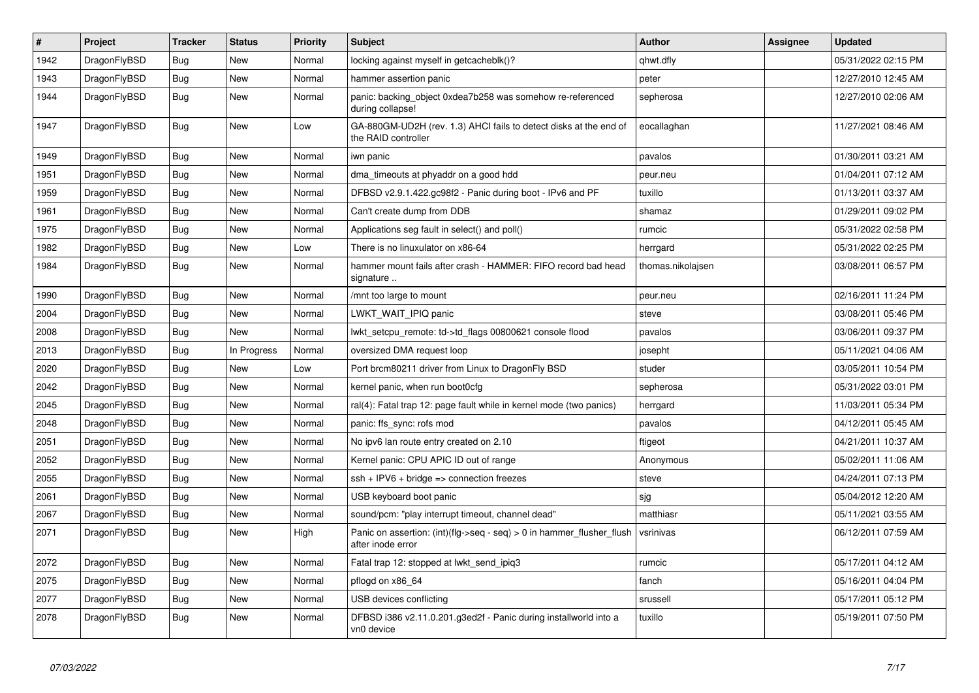| $\vert$ # | Project      | <b>Tracker</b> | <b>Status</b> | <b>Priority</b> | <b>Subject</b>                                                                             | <b>Author</b>     | Assignee | Updated             |
|-----------|--------------|----------------|---------------|-----------------|--------------------------------------------------------------------------------------------|-------------------|----------|---------------------|
| 1942      | DragonFlyBSD | Bug            | New           | Normal          | locking against myself in getcacheblk()?                                                   | qhwt.dfly         |          | 05/31/2022 02:15 PM |
| 1943      | DragonFlyBSD | Bug            | New           | Normal          | hammer assertion panic                                                                     | peter             |          | 12/27/2010 12:45 AM |
| 1944      | DragonFlyBSD | <b>Bug</b>     | <b>New</b>    | Normal          | panic: backing object 0xdea7b258 was somehow re-referenced<br>during collapse!             | sepherosa         |          | 12/27/2010 02:06 AM |
| 1947      | DragonFlyBSD | <b>Bug</b>     | <b>New</b>    | Low             | GA-880GM-UD2H (rev. 1.3) AHCI fails to detect disks at the end of<br>the RAID controller   | eocallaghan       |          | 11/27/2021 08:46 AM |
| 1949      | DragonFlyBSD | Bug            | <b>New</b>    | Normal          | iwn panic                                                                                  | pavalos           |          | 01/30/2011 03:21 AM |
| 1951      | DragonFlyBSD | <b>Bug</b>     | New           | Normal          | dma timeouts at phyaddr on a good hdd                                                      | peur.neu          |          | 01/04/2011 07:12 AM |
| 1959      | DragonFlyBSD | <b>Bug</b>     | <b>New</b>    | Normal          | DFBSD v2.9.1.422.gc98f2 - Panic during boot - IPv6 and PF                                  | tuxillo           |          | 01/13/2011 03:37 AM |
| 1961      | DragonFlyBSD | <b>Bug</b>     | <b>New</b>    | Normal          | Can't create dump from DDB                                                                 | shamaz            |          | 01/29/2011 09:02 PM |
| 1975      | DragonFlyBSD | Bug            | <b>New</b>    | Normal          | Applications seg fault in select() and poll()                                              | rumcic            |          | 05/31/2022 02:58 PM |
| 1982      | DragonFlyBSD | <b>Bug</b>     | New           | Low             | There is no linuxulator on x86-64                                                          | herrgard          |          | 05/31/2022 02:25 PM |
| 1984      | DragonFlyBSD | <b>Bug</b>     | New           | Normal          | hammer mount fails after crash - HAMMER: FIFO record bad head<br>signature                 | thomas.nikolajsen |          | 03/08/2011 06:57 PM |
| 1990      | DragonFlyBSD | <b>Bug</b>     | New           | Normal          | /mnt too large to mount                                                                    | peur.neu          |          | 02/16/2011 11:24 PM |
| 2004      | DragonFlyBSD | Bug            | New           | Normal          | LWKT WAIT IPIQ panic                                                                       | steve             |          | 03/08/2011 05:46 PM |
| 2008      | DragonFlyBSD | Bug            | New           | Normal          | lwkt setcpu remote: td->td flags 00800621 console flood                                    | pavalos           |          | 03/06/2011 09:37 PM |
| 2013      | DragonFlyBSD | Bug            | In Progress   | Normal          | oversized DMA request loop                                                                 | josepht           |          | 05/11/2021 04:06 AM |
| 2020      | DragonFlyBSD | Bug            | New           | Low             | Port brcm80211 driver from Linux to DragonFly BSD                                          | studer            |          | 03/05/2011 10:54 PM |
| 2042      | DragonFlyBSD | <b>Bug</b>     | New           | Normal          | kernel panic, when run boot0cfg                                                            | sepherosa         |          | 05/31/2022 03:01 PM |
| 2045      | DragonFlyBSD | <b>Bug</b>     | <b>New</b>    | Normal          | ral(4): Fatal trap 12: page fault while in kernel mode (two panics)                        | herrgard          |          | 11/03/2011 05:34 PM |
| 2048      | DragonFlyBSD | Bug            | <b>New</b>    | Normal          | panic: ffs_sync: rofs mod                                                                  | pavalos           |          | 04/12/2011 05:45 AM |
| 2051      | DragonFlyBSD | Bug            | New           | Normal          | No ipv6 lan route entry created on 2.10                                                    | ftigeot           |          | 04/21/2011 10:37 AM |
| 2052      | DragonFlyBSD | Bug            | New           | Normal          | Kernel panic: CPU APIC ID out of range                                                     | Anonymous         |          | 05/02/2011 11:06 AM |
| 2055      | DragonFlyBSD | Bug            | New           | Normal          | $ssh + IPV6 + bridge \Rightarrow connection freezes$                                       | steve             |          | 04/24/2011 07:13 PM |
| 2061      | DragonFlyBSD | Bug            | New           | Normal          | USB keyboard boot panic                                                                    | sjg               |          | 05/04/2012 12:20 AM |
| 2067      | DragonFlyBSD | <b>Bug</b>     | New           | Normal          | sound/pcm: "play interrupt timeout, channel dead"                                          | matthiasr         |          | 05/11/2021 03:55 AM |
| 2071      | DragonFlyBSD | <b>Bug</b>     | New           | High            | Panic on assertion: (int)(flg->seq - seq) > 0 in hammer_flusher_flush<br>after inode error | vsrinivas         |          | 06/12/2011 07:59 AM |
| 2072      | DragonFlyBSD | Bug            | <b>New</b>    | Normal          | Fatal trap 12: stopped at lwkt_send_ipiq3                                                  | rumcic            |          | 05/17/2011 04:12 AM |
| 2075      | DragonFlyBSD | <b>Bug</b>     | New           | Normal          | pflogd on x86 64                                                                           | fanch             |          | 05/16/2011 04:04 PM |
| 2077      | DragonFlyBSD | <b>Bug</b>     | <b>New</b>    | Normal          | USB devices conflicting                                                                    | srussell          |          | 05/17/2011 05:12 PM |
| 2078      | DragonFlyBSD | <b>Bug</b>     | <b>New</b>    | Normal          | DFBSD i386 v2.11.0.201.g3ed2f - Panic during installworld into a<br>vn0 device             | tuxillo           |          | 05/19/2011 07:50 PM |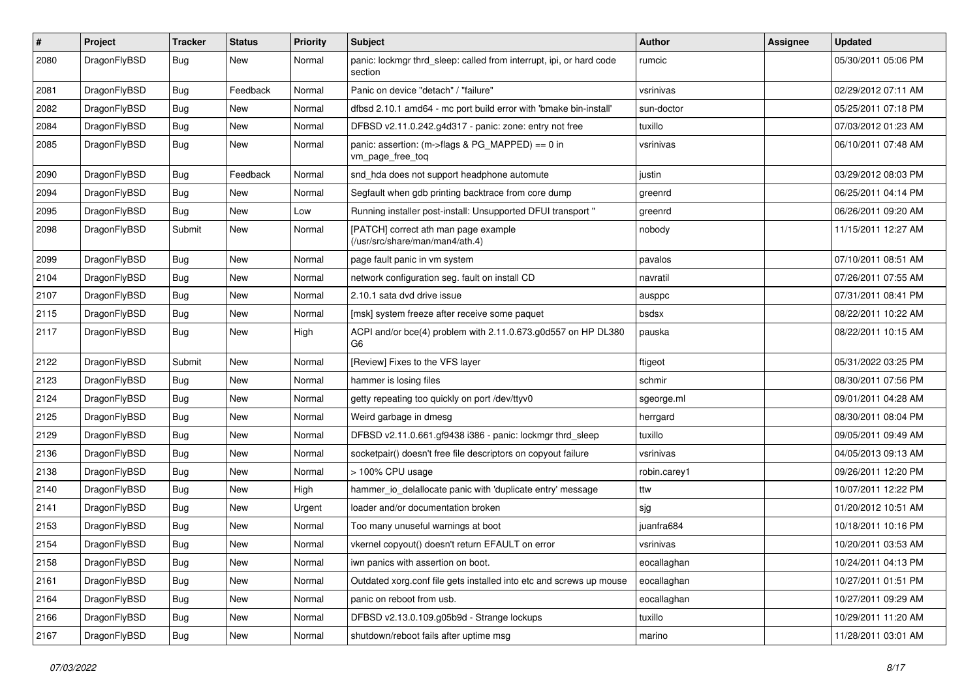| #    | Project      | <b>Tracker</b> | <b>Status</b> | <b>Priority</b> | <b>Subject</b>                                                                  | <b>Author</b> | <b>Assignee</b> | <b>Updated</b>      |
|------|--------------|----------------|---------------|-----------------|---------------------------------------------------------------------------------|---------------|-----------------|---------------------|
| 2080 | DragonFlyBSD | <b>Bug</b>     | New           | Normal          | panic: lockmgr thrd_sleep: called from interrupt, ipi, or hard code<br>section  | rumcic        |                 | 05/30/2011 05:06 PM |
| 2081 | DragonFlyBSD | <b>Bug</b>     | Feedback      | Normal          | Panic on device "detach" / "failure"                                            | vsrinivas     |                 | 02/29/2012 07:11 AM |
| 2082 | DragonFlyBSD | <b>Bug</b>     | <b>New</b>    | Normal          | dfbsd 2.10.1 amd64 - mc port build error with 'bmake bin-install'               | sun-doctor    |                 | 05/25/2011 07:18 PM |
| 2084 | DragonFlyBSD | <b>Bug</b>     | New           | Normal          | DFBSD v2.11.0.242.g4d317 - panic: zone: entry not free                          | tuxillo       |                 | 07/03/2012 01:23 AM |
| 2085 | DragonFlyBSD | Bug            | New           | Normal          | panic: assertion: (m->flags & PG_MAPPED) == 0 in<br>vm_page_free_toq            | vsrinivas     |                 | 06/10/2011 07:48 AM |
| 2090 | DragonFlyBSD | Bug            | Feedback      | Normal          | snd hda does not support headphone automute                                     | justin        |                 | 03/29/2012 08:03 PM |
| 2094 | DragonFlyBSD | <b>Bug</b>     | New           | Normal          | Segfault when gdb printing backtrace from core dump                             | greenrd       |                 | 06/25/2011 04:14 PM |
| 2095 | DragonFlyBSD | Bug            | New           | Low             | Running installer post-install: Unsupported DFUI transport "                    | greenrd       |                 | 06/26/2011 09:20 AM |
| 2098 | DragonFlyBSD | Submit         | New           | Normal          | [PATCH] correct ath man page example<br>(/usr/src/share/man/man4/ath.4)         | nobody        |                 | 11/15/2011 12:27 AM |
| 2099 | DragonFlyBSD | Bug            | <b>New</b>    | Normal          | page fault panic in vm system                                                   | pavalos       |                 | 07/10/2011 08:51 AM |
| 2104 | DragonFlyBSD | Bug            | <b>New</b>    | Normal          | network configuration seg. fault on install CD                                  | navratil      |                 | 07/26/2011 07:55 AM |
| 2107 | DragonFlyBSD | Bug            | New           | Normal          | 2.10.1 sata dvd drive issue                                                     | ausppc        |                 | 07/31/2011 08:41 PM |
| 2115 | DragonFlyBSD | Bug            | <b>New</b>    | Normal          | [msk] system freeze after receive some paquet                                   | bsdsx         |                 | 08/22/2011 10:22 AM |
| 2117 | DragonFlyBSD | Bug            | New           | High            | ACPI and/or bce(4) problem with 2.11.0.673.g0d557 on HP DL380<br>G <sub>6</sub> | pauska        |                 | 08/22/2011 10:15 AM |
| 2122 | DragonFlyBSD | Submit         | <b>New</b>    | Normal          | [Review] Fixes to the VFS layer                                                 | ftigeot       |                 | 05/31/2022 03:25 PM |
| 2123 | DragonFlyBSD | Bug            | New           | Normal          | hammer is losing files                                                          | schmir        |                 | 08/30/2011 07:56 PM |
| 2124 | DragonFlyBSD | Bug            | New           | Normal          | getty repeating too quickly on port /dev/ttyv0                                  | sgeorge.ml    |                 | 09/01/2011 04:28 AM |
| 2125 | DragonFlyBSD | Bug            | <b>New</b>    | Normal          | Weird garbage in dmesg                                                          | herrgard      |                 | 08/30/2011 08:04 PM |
| 2129 | DragonFlyBSD | Bug            | New           | Normal          | DFBSD v2.11.0.661.gf9438 i386 - panic: lockmgr thrd_sleep                       | tuxillo       |                 | 09/05/2011 09:49 AM |
| 2136 | DragonFlyBSD | <b>Bug</b>     | <b>New</b>    | Normal          | socketpair() doesn't free file descriptors on copyout failure                   | vsrinivas     |                 | 04/05/2013 09:13 AM |
| 2138 | DragonFlyBSD | Bug            | New           | Normal          | > 100% CPU usage                                                                | robin.carey1  |                 | 09/26/2011 12:20 PM |
| 2140 | DragonFlyBSD | <b>Bug</b>     | New           | High            | hammer_io_delallocate panic with 'duplicate entry' message                      | ttw           |                 | 10/07/2011 12:22 PM |
| 2141 | DragonFlyBSD | <b>Bug</b>     | <b>New</b>    | Urgent          | loader and/or documentation broken                                              | sjg           |                 | 01/20/2012 10:51 AM |
| 2153 | DragonFlyBSD | <b>Bug</b>     | New           | Normal          | Too many unuseful warnings at boot                                              | juanfra684    |                 | 10/18/2011 10:16 PM |
| 2154 | DragonFlyBSD | <b>Bug</b>     | New           | Normal          | vkernel copyout() doesn't return EFAULT on error                                | vsrinivas     |                 | 10/20/2011 03:53 AM |
| 2158 | DragonFlyBSD | <b>Bug</b>     | New           | Normal          | iwn panics with assertion on boot.                                              | eocallaghan   |                 | 10/24/2011 04:13 PM |
| 2161 | DragonFlyBSD | <b>Bug</b>     | <b>New</b>    | Normal          | Outdated xorg.conf file gets installed into etc and screws up mouse             | eocallaghan   |                 | 10/27/2011 01:51 PM |
| 2164 | DragonFlyBSD | <b>Bug</b>     | New           | Normal          | panic on reboot from usb.                                                       | eocallaghan   |                 | 10/27/2011 09:29 AM |
| 2166 | DragonFlyBSD | <b>Bug</b>     | New           | Normal          | DFBSD v2.13.0.109.g05b9d - Strange lockups                                      | tuxillo       |                 | 10/29/2011 11:20 AM |
| 2167 | DragonFlyBSD | <b>Bug</b>     | New           | Normal          | shutdown/reboot fails after uptime msg                                          | marino        |                 | 11/28/2011 03:01 AM |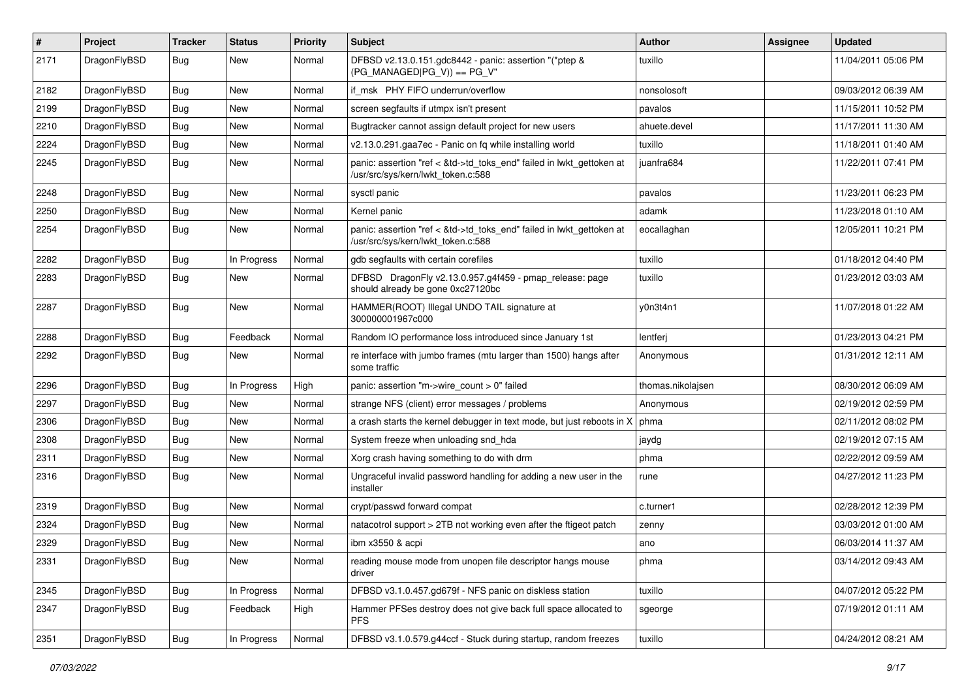| #    | Project      | <b>Tracker</b> | <b>Status</b> | <b>Priority</b> | <b>Subject</b>                                                                                             | Author            | Assignee | <b>Updated</b>      |
|------|--------------|----------------|---------------|-----------------|------------------------------------------------------------------------------------------------------------|-------------------|----------|---------------------|
| 2171 | DragonFlyBSD | Bug            | New           | Normal          | DFBSD v2.13.0.151.gdc8442 - panic: assertion "(*ptep &<br>$(PG_MANAGED PG_V)$ == PG_V"                     | tuxillo           |          | 11/04/2011 05:06 PM |
| 2182 | DragonFlyBSD | <b>Bug</b>     | <b>New</b>    | Normal          | if msk PHY FIFO underrun/overflow                                                                          | nonsolosoft       |          | 09/03/2012 06:39 AM |
| 2199 | DragonFlyBSD | Bug            | <b>New</b>    | Normal          | screen segfaults if utmpx isn't present                                                                    | pavalos           |          | 11/15/2011 10:52 PM |
| 2210 | DragonFlyBSD | <b>Bug</b>     | <b>New</b>    | Normal          | Bugtracker cannot assign default project for new users                                                     | ahuete.devel      |          | 11/17/2011 11:30 AM |
| 2224 | DragonFlyBSD | <b>Bug</b>     | New           | Normal          | v2.13.0.291.gaa7ec - Panic on fq while installing world                                                    | tuxillo           |          | 11/18/2011 01:40 AM |
| 2245 | DragonFlyBSD | Bug            | New           | Normal          | panic: assertion "ref < &td->td_toks_end" failed in lwkt_gettoken at<br>/usr/src/sys/kern/lwkt_token.c:588 | juanfra684        |          | 11/22/2011 07:41 PM |
| 2248 | DragonFlyBSD | Bug            | <b>New</b>    | Normal          | sysctl panic                                                                                               | pavalos           |          | 11/23/2011 06:23 PM |
| 2250 | DragonFlyBSD | <b>Bug</b>     | <b>New</b>    | Normal          | Kernel panic                                                                                               | adamk             |          | 11/23/2018 01:10 AM |
| 2254 | DragonFlyBSD | <b>Bug</b>     | <b>New</b>    | Normal          | panic: assertion "ref < &td->td_toks_end" failed in lwkt_gettoken at<br>/usr/src/sys/kern/lwkt_token.c:588 | eocallaghan       |          | 12/05/2011 10:21 PM |
| 2282 | DragonFlyBSD | <b>Bug</b>     | In Progress   | Normal          | gdb segfaults with certain corefiles                                                                       | tuxillo           |          | 01/18/2012 04:40 PM |
| 2283 | DragonFlyBSD | Bug            | New           | Normal          | DFBSD DragonFly v2.13.0.957.g4f459 - pmap_release: page<br>should already be gone 0xc27120bc               | tuxillo           |          | 01/23/2012 03:03 AM |
| 2287 | DragonFlyBSD | <b>Bug</b>     | New           | Normal          | HAMMER(ROOT) Illegal UNDO TAIL signature at<br>300000001967c000                                            | y0n3t4n1          |          | 11/07/2018 01:22 AM |
| 2288 | DragonFlyBSD | <b>Bug</b>     | Feedback      | Normal          | Random IO performance loss introduced since January 1st                                                    | lentferj          |          | 01/23/2013 04:21 PM |
| 2292 | DragonFlyBSD | <b>Bug</b>     | <b>New</b>    | Normal          | re interface with jumbo frames (mtu larger than 1500) hangs after<br>some traffic                          | Anonymous         |          | 01/31/2012 12:11 AM |
| 2296 | DragonFlyBSD | <b>Bug</b>     | In Progress   | High            | panic: assertion "m->wire count > 0" failed                                                                | thomas.nikolajsen |          | 08/30/2012 06:09 AM |
| 2297 | DragonFlyBSD | <b>Bug</b>     | New           | Normal          | strange NFS (client) error messages / problems                                                             | Anonymous         |          | 02/19/2012 02:59 PM |
| 2306 | DragonFlyBSD | Bug            | <b>New</b>    | Normal          | a crash starts the kernel debugger in text mode, but just reboots in X                                     | phma              |          | 02/11/2012 08:02 PM |
| 2308 | DragonFlyBSD | <b>Bug</b>     | New           | Normal          | System freeze when unloading snd_hda                                                                       | jaydg             |          | 02/19/2012 07:15 AM |
| 2311 | DragonFlyBSD | Bug            | <b>New</b>    | Normal          | Xorg crash having something to do with drm                                                                 | phma              |          | 02/22/2012 09:59 AM |
| 2316 | DragonFlyBSD | <b>Bug</b>     | New           | Normal          | Ungraceful invalid password handling for adding a new user in the<br>installer                             | rune              |          | 04/27/2012 11:23 PM |
| 2319 | DragonFlyBSD | Bug            | <b>New</b>    | Normal          | crypt/passwd forward compat                                                                                | c.turner1         |          | 02/28/2012 12:39 PM |
| 2324 | DragonFlyBSD | Bug            | <b>New</b>    | Normal          | natacotrol support > 2TB not working even after the ftigeot patch                                          | zenny             |          | 03/03/2012 01:00 AM |
| 2329 | DragonFlyBSD | <b>Bug</b>     | New           | Normal          | ibm x3550 & acpi                                                                                           | ano               |          | 06/03/2014 11:37 AM |
| 2331 | DragonFlyBSD | <b>Bug</b>     | New           | Normal          | reading mouse mode from unopen file descriptor hangs mouse<br>driver                                       | phma              |          | 03/14/2012 09:43 AM |
| 2345 | DragonFlyBSD | <b>Bug</b>     | In Progress   | Normal          | DFBSD v3.1.0.457.gd679f - NFS panic on diskless station                                                    | tuxillo           |          | 04/07/2012 05:22 PM |
| 2347 | DragonFlyBSD | Bug            | Feedback      | High            | Hammer PFSes destroy does not give back full space allocated to<br><b>PFS</b>                              | sgeorge           |          | 07/19/2012 01:11 AM |
| 2351 | DragonFlyBSD | Bug            | In Progress   | Normal          | DFBSD v3.1.0.579.g44ccf - Stuck during startup, random freezes                                             | tuxillo           |          | 04/24/2012 08:21 AM |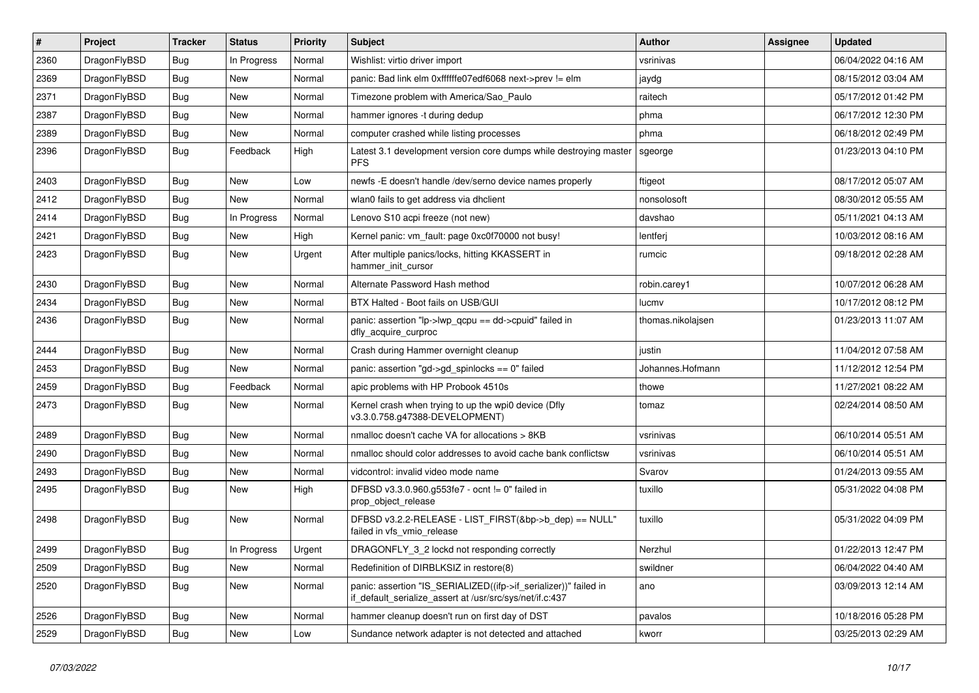| $\pmb{\#}$ | Project      | <b>Tracker</b> | <b>Status</b> | <b>Priority</b> | Subject                                                                                                                      | Author            | Assignee | <b>Updated</b>      |
|------------|--------------|----------------|---------------|-----------------|------------------------------------------------------------------------------------------------------------------------------|-------------------|----------|---------------------|
| 2360       | DragonFlyBSD | Bug            | In Progress   | Normal          | Wishlist: virtio driver import                                                                                               | vsrinivas         |          | 06/04/2022 04:16 AM |
| 2369       | DragonFlyBSD | Bug            | New           | Normal          | panic: Bad link elm 0xffffffe07edf6068 next->prev != elm                                                                     | jaydg             |          | 08/15/2012 03:04 AM |
| 2371       | DragonFlyBSD | <b>Bug</b>     | New           | Normal          | Timezone problem with America/Sao_Paulo                                                                                      | raitech           |          | 05/17/2012 01:42 PM |
| 2387       | DragonFlyBSD | Bug            | <b>New</b>    | Normal          | hammer ignores -t during dedup                                                                                               | phma              |          | 06/17/2012 12:30 PM |
| 2389       | DragonFlyBSD | <b>Bug</b>     | New           | Normal          | computer crashed while listing processes                                                                                     | phma              |          | 06/18/2012 02:49 PM |
| 2396       | DragonFlyBSD | Bug            | Feedback      | High            | Latest 3.1 development version core dumps while destroying master<br><b>PFS</b>                                              | sgeorge           |          | 01/23/2013 04:10 PM |
| 2403       | DragonFlyBSD | Bug            | New           | Low             | newfs -E doesn't handle /dev/serno device names properly                                                                     | ftigeot           |          | 08/17/2012 05:07 AM |
| 2412       | DragonFlyBSD | Bug            | New           | Normal          | wlan0 fails to get address via dhclient                                                                                      | nonsolosoft       |          | 08/30/2012 05:55 AM |
| 2414       | DragonFlyBSD | Bug            | In Progress   | Normal          | Lenovo S10 acpi freeze (not new)                                                                                             | davshao           |          | 05/11/2021 04:13 AM |
| 2421       | DragonFlyBSD | <b>Bug</b>     | New           | High            | Kernel panic: vm_fault: page 0xc0f70000 not busy!                                                                            | lentferj          |          | 10/03/2012 08:16 AM |
| 2423       | DragonFlyBSD | Bug            | <b>New</b>    | Urgent          | After multiple panics/locks, hitting KKASSERT in<br>hammer init cursor                                                       | rumcic            |          | 09/18/2012 02:28 AM |
| 2430       | DragonFlyBSD | Bug            | <b>New</b>    | Normal          | Alternate Password Hash method                                                                                               | robin.carey1      |          | 10/07/2012 06:28 AM |
| 2434       | DragonFlyBSD | <b>Bug</b>     | New           | Normal          | BTX Halted - Boot fails on USB/GUI                                                                                           | lucmv             |          | 10/17/2012 08:12 PM |
| 2436       | DragonFlyBSD | Bug            | New           | Normal          | panic: assertion "lp->lwp_qcpu == dd->cpuid" failed in<br>dfly_acquire_curproc                                               | thomas.nikolajsen |          | 01/23/2013 11:07 AM |
| 2444       | DragonFlyBSD | Bug            | <b>New</b>    | Normal          | Crash during Hammer overnight cleanup                                                                                        | justin            |          | 11/04/2012 07:58 AM |
| 2453       | DragonFlyBSD | <b>Bug</b>     | New           | Normal          | panic: assertion "gd->gd spinlocks == $0$ " failed                                                                           | Johannes.Hofmann  |          | 11/12/2012 12:54 PM |
| 2459       | DragonFlyBSD | Bug            | Feedback      | Normal          | apic problems with HP Probook 4510s                                                                                          | thowe             |          | 11/27/2021 08:22 AM |
| 2473       | DragonFlyBSD | Bug            | New           | Normal          | Kernel crash when trying to up the wpi0 device (Dfly<br>v3.3.0.758.g47388-DEVELOPMENT)                                       | tomaz             |          | 02/24/2014 08:50 AM |
| 2489       | DragonFlyBSD | <b>Bug</b>     | <b>New</b>    | Normal          | nmalloc doesn't cache VA for allocations > 8KB                                                                               | vsrinivas         |          | 06/10/2014 05:51 AM |
| 2490       | DragonFlyBSD | <b>Bug</b>     | New           | Normal          | nmalloc should color addresses to avoid cache bank conflictsw                                                                | vsrinivas         |          | 06/10/2014 05:51 AM |
| 2493       | DragonFlyBSD | Bug            | <b>New</b>    | Normal          | vidcontrol: invalid video mode name                                                                                          | Svarov            |          | 01/24/2013 09:55 AM |
| 2495       | DragonFlyBSD | Bug            | New           | High            | DFBSD v3.3.0.960.g553fe7 - ocnt != 0" failed in<br>prop_object_release                                                       | tuxillo           |          | 05/31/2022 04:08 PM |
| 2498       | DragonFlyBSD | Bug            | New           | Normal          | DFBSD v3.2.2-RELEASE - LIST_FIRST(&bp->b_dep) == NULL"<br>failed in vfs_vmio_release                                         | tuxillo           |          | 05/31/2022 04:09 PM |
| 2499       | DragonFlyBSD | Bug            | In Progress   | Urgent          | DRAGONFLY 3 2 lockd not responding correctly                                                                                 | Nerzhul           |          | 01/22/2013 12:47 PM |
| 2509       | DragonFlyBSD | <b>Bug</b>     | New           | Normal          | Redefinition of DIRBLKSIZ in restore(8)                                                                                      | swildner          |          | 06/04/2022 04:40 AM |
| 2520       | DragonFlyBSD | <b>Bug</b>     | New           | Normal          | panic: assertion "IS_SERIALIZED((ifp->if_serializer))" failed in<br>if_default_serialize_assert at /usr/src/sys/net/if.c:437 | ano               |          | 03/09/2013 12:14 AM |
| 2526       | DragonFlyBSD | <b>Bug</b>     | New           | Normal          | hammer cleanup doesn't run on first day of DST                                                                               | pavalos           |          | 10/18/2016 05:28 PM |
| 2529       | DragonFlyBSD | <b>Bug</b>     | New           | Low             | Sundance network adapter is not detected and attached                                                                        | kworr             |          | 03/25/2013 02:29 AM |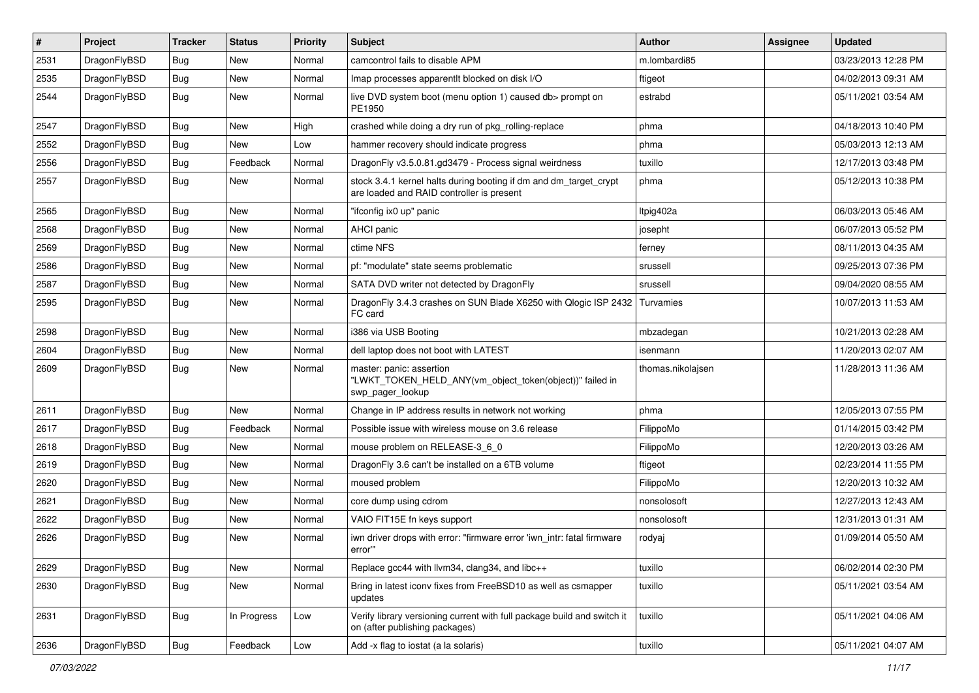| $\sharp$ | Project      | <b>Tracker</b> | <b>Status</b> | <b>Priority</b> | Subject                                                                                                        | <b>Author</b>     | Assignee | <b>Updated</b>      |
|----------|--------------|----------------|---------------|-----------------|----------------------------------------------------------------------------------------------------------------|-------------------|----------|---------------------|
| 2531     | DragonFlyBSD | <b>Bug</b>     | New           | Normal          | camcontrol fails to disable APM                                                                                | m.lombardi85      |          | 03/23/2013 12:28 PM |
| 2535     | DragonFlyBSD | <b>Bug</b>     | New           | Normal          | Imap processes apparentlt blocked on disk I/O                                                                  | ftigeot           |          | 04/02/2013 09:31 AM |
| 2544     | DragonFlyBSD | <b>Bug</b>     | <b>New</b>    | Normal          | live DVD system boot (menu option 1) caused db> prompt on<br>PE1950                                            | estrabd           |          | 05/11/2021 03:54 AM |
| 2547     | DragonFlyBSD | <b>Bug</b>     | <b>New</b>    | High            | crashed while doing a dry run of pkg_rolling-replace                                                           | phma              |          | 04/18/2013 10:40 PM |
| 2552     | DragonFlyBSD | <b>Bug</b>     | New           | Low             | hammer recovery should indicate progress                                                                       | phma              |          | 05/03/2013 12:13 AM |
| 2556     | DragonFlyBSD | Bug            | Feedback      | Normal          | DragonFly v3.5.0.81.gd3479 - Process signal weirdness                                                          | tuxillo           |          | 12/17/2013 03:48 PM |
| 2557     | DragonFlyBSD | Bug            | <b>New</b>    | Normal          | stock 3.4.1 kernel halts during booting if dm and dm_target_crypt<br>are loaded and RAID controller is present | phma              |          | 05/12/2013 10:38 PM |
| 2565     | DragonFlyBSD | Bug            | New           | Normal          | "ifconfig ix0 up" panic                                                                                        | Itpig402a         |          | 06/03/2013 05:46 AM |
| 2568     | DragonFlyBSD | <b>Bug</b>     | <b>New</b>    | Normal          | AHCI panic                                                                                                     | josepht           |          | 06/07/2013 05:52 PM |
| 2569     | DragonFlyBSD | <b>Bug</b>     | <b>New</b>    | Normal          | ctime NFS                                                                                                      | ferney            |          | 08/11/2013 04:35 AM |
| 2586     | DragonFlyBSD | Bug            | <b>New</b>    | Normal          | pf: "modulate" state seems problematic                                                                         | srussell          |          | 09/25/2013 07:36 PM |
| 2587     | DragonFlyBSD | <b>Bug</b>     | New           | Normal          | SATA DVD writer not detected by DragonFly                                                                      | srussell          |          | 09/04/2020 08:55 AM |
| 2595     | DragonFlyBSD | Bug            | New           | Normal          | DragonFly 3.4.3 crashes on SUN Blade X6250 with Qlogic ISP 2432<br>FC card                                     | Turvamies         |          | 10/07/2013 11:53 AM |
| 2598     | DragonFlyBSD | Bug            | <b>New</b>    | Normal          | i386 via USB Booting                                                                                           | mbzadegan         |          | 10/21/2013 02:28 AM |
| 2604     | DragonFlyBSD | Bug            | <b>New</b>    | Normal          | dell laptop does not boot with LATEST                                                                          | isenmann          |          | 11/20/2013 02:07 AM |
| 2609     | DragonFlyBSD | Bug            | <b>New</b>    | Normal          | master: panic: assertion<br>"LWKT_TOKEN_HELD_ANY(vm_object_token(object))" failed in<br>swp_pager_lookup       | thomas.nikolajsen |          | 11/28/2013 11:36 AM |
| 2611     | DragonFlyBSD | Bug            | New           | Normal          | Change in IP address results in network not working                                                            | phma              |          | 12/05/2013 07:55 PM |
| 2617     | DragonFlyBSD | Bug            | Feedback      | Normal          | Possible issue with wireless mouse on 3.6 release                                                              | FilippoMo         |          | 01/14/2015 03:42 PM |
| 2618     | DragonFlyBSD | <b>Bug</b>     | New           | Normal          | mouse problem on RELEASE-3 6 0                                                                                 | FilippoMo         |          | 12/20/2013 03:26 AM |
| 2619     | DragonFlyBSD | Bug            | <b>New</b>    | Normal          | DragonFly 3.6 can't be installed on a 6TB volume                                                               | ftigeot           |          | 02/23/2014 11:55 PM |
| 2620     | DragonFlyBSD | Bug            | <b>New</b>    | Normal          | moused problem                                                                                                 | FilippoMo         |          | 12/20/2013 10:32 AM |
| 2621     | DragonFlyBSD | <b>Bug</b>     | New           | Normal          | core dump using cdrom                                                                                          | nonsolosoft       |          | 12/27/2013 12:43 AM |
| 2622     | DragonFlyBSD | <b>Bug</b>     | <b>New</b>    | Normal          | VAIO FIT15E fn keys support                                                                                    | nonsolosoft       |          | 12/31/2013 01:31 AM |
| 2626     | DragonFlyBSD | Bug            | New           | Normal          | iwn driver drops with error: "firmware error 'iwn_intr: fatal firmware<br>error""                              | rodyaj            |          | 01/09/2014 05:50 AM |
| 2629     | DragonFlyBSD | <b>Bug</b>     | New           | Normal          | Replace gcc44 with llvm34, clang34, and libc++                                                                 | tuxillo           |          | 06/02/2014 02:30 PM |
| 2630     | DragonFlyBSD | <b>Bug</b>     | New           | Normal          | Bring in latest iconv fixes from FreeBSD10 as well as csmapper<br>updates                                      | tuxillo           |          | 05/11/2021 03:54 AM |
| 2631     | DragonFlyBSD | Bug            | In Progress   | Low             | Verify library versioning current with full package build and switch it<br>on (after publishing packages)      | tuxillo           |          | 05/11/2021 04:06 AM |
| 2636     | DragonFlyBSD | Bug            | Feedback      | Low             | Add -x flag to iostat (a la solaris)                                                                           | tuxillo           |          | 05/11/2021 04:07 AM |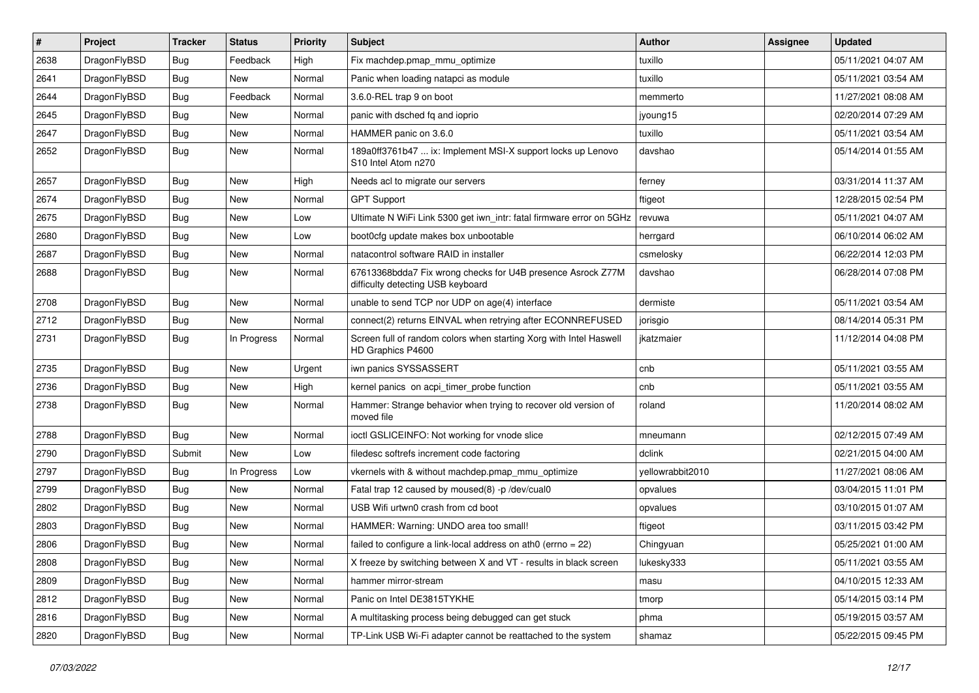| #    | Project      | <b>Tracker</b> | <b>Status</b> | <b>Priority</b> | Subject                                                                                          | Author           | Assignee | <b>Updated</b>      |
|------|--------------|----------------|---------------|-----------------|--------------------------------------------------------------------------------------------------|------------------|----------|---------------------|
| 2638 | DragonFlyBSD | Bug            | Feedback      | High            | Fix machdep.pmap_mmu_optimize                                                                    | tuxillo          |          | 05/11/2021 04:07 AM |
| 2641 | DragonFlyBSD | Bug            | New           | Normal          | Panic when loading natapci as module                                                             | tuxillo          |          | 05/11/2021 03:54 AM |
| 2644 | DragonFlyBSD | <b>Bug</b>     | Feedback      | Normal          | 3.6.0-REL trap 9 on boot                                                                         | memmerto         |          | 11/27/2021 08:08 AM |
| 2645 | DragonFlyBSD | Bug            | <b>New</b>    | Normal          | panic with dsched fq and ioprio                                                                  | jyoung15         |          | 02/20/2014 07:29 AM |
| 2647 | DragonFlyBSD | <b>Bug</b>     | <b>New</b>    | Normal          | HAMMER panic on 3.6.0                                                                            | tuxillo          |          | 05/11/2021 03:54 AM |
| 2652 | DragonFlyBSD | Bug            | New           | Normal          | 189a0ff3761b47  ix: Implement MSI-X support locks up Lenovo<br>S10 Intel Atom n270               | davshao          |          | 05/14/2014 01:55 AM |
| 2657 | DragonFlyBSD | Bug            | <b>New</b>    | High            | Needs acl to migrate our servers                                                                 | ferney           |          | 03/31/2014 11:37 AM |
| 2674 | DragonFlyBSD | Bug            | <b>New</b>    | Normal          | <b>GPT Support</b>                                                                               | ftigeot          |          | 12/28/2015 02:54 PM |
| 2675 | DragonFlyBSD | Bug            | <b>New</b>    | Low             | Ultimate N WiFi Link 5300 get iwn intr: fatal firmware error on 5GHz                             | revuwa           |          | 05/11/2021 04:07 AM |
| 2680 | DragonFlyBSD | <b>Bug</b>     | New           | Low             | boot0cfg update makes box unbootable                                                             | herrgard         |          | 06/10/2014 06:02 AM |
| 2687 | DragonFlyBSD | Bug            | <b>New</b>    | Normal          | natacontrol software RAID in installer                                                           | csmelosky        |          | 06/22/2014 12:03 PM |
| 2688 | DragonFlyBSD | Bug            | New           | Normal          | 67613368bdda7 Fix wrong checks for U4B presence Asrock Z77M<br>difficulty detecting USB keyboard | davshao          |          | 06/28/2014 07:08 PM |
| 2708 | DragonFlyBSD | Bug            | <b>New</b>    | Normal          | unable to send TCP nor UDP on age(4) interface                                                   | dermiste         |          | 05/11/2021 03:54 AM |
| 2712 | DragonFlyBSD | <b>Bug</b>     | New           | Normal          | connect(2) returns EINVAL when retrying after ECONNREFUSED                                       | jorisgio         |          | 08/14/2014 05:31 PM |
| 2731 | DragonFlyBSD | Bug            | In Progress   | Normal          | Screen full of random colors when starting Xorg with Intel Haswell<br>HD Graphics P4600          | jkatzmaier       |          | 11/12/2014 04:08 PM |
| 2735 | DragonFlyBSD | Bug            | New           | Urgent          | iwn panics SYSSASSERT                                                                            | cnb              |          | 05/11/2021 03:55 AM |
| 2736 | DragonFlyBSD | Bug            | <b>New</b>    | High            | kernel panics on acpi_timer_probe function                                                       | cnb              |          | 05/11/2021 03:55 AM |
| 2738 | DragonFlyBSD | Bug            | New           | Normal          | Hammer: Strange behavior when trying to recover old version of<br>moved file                     | roland           |          | 11/20/2014 08:02 AM |
| 2788 | DragonFlyBSD | Bug            | <b>New</b>    | Normal          | ioctl GSLICEINFO: Not working for vnode slice                                                    | mneumann         |          | 02/12/2015 07:49 AM |
| 2790 | DragonFlyBSD | Submit         | <b>New</b>    | Low             | filedesc softrefs increment code factoring                                                       | dclink           |          | 02/21/2015 04:00 AM |
| 2797 | DragonFlyBSD | Bug            | In Progress   | Low             | vkernels with & without machdep.pmap_mmu_optimize                                                | yellowrabbit2010 |          | 11/27/2021 08:06 AM |
| 2799 | DragonFlyBSD | Bug            | <b>New</b>    | Normal          | Fatal trap 12 caused by moused(8) -p /dev/cual0                                                  | opvalues         |          | 03/04/2015 11:01 PM |
| 2802 | DragonFlyBSD | <b>Bug</b>     | New           | Normal          | USB Wifi urtwn0 crash from cd boot                                                               | opvalues         |          | 03/10/2015 01:07 AM |
| 2803 | DragonFlyBSD | <b>Bug</b>     | <b>New</b>    | Normal          | HAMMER: Warning: UNDO area too small!                                                            | ftigeot          |          | 03/11/2015 03:42 PM |
| 2806 | DragonFlyBSD | <b>Bug</b>     | New           | Normal          | failed to configure a link-local address on ath $0$ (errno = 22)                                 | Chingyuan        |          | 05/25/2021 01:00 AM |
| 2808 | DragonFlyBSD | <b>Bug</b>     | New           | Normal          | X freeze by switching between X and VT - results in black screen                                 | lukesky333       |          | 05/11/2021 03:55 AM |
| 2809 | DragonFlyBSD | <b>Bug</b>     | New           | Normal          | hammer mirror-stream                                                                             | masu             |          | 04/10/2015 12:33 AM |
| 2812 | DragonFlyBSD | <b>Bug</b>     | New           | Normal          | Panic on Intel DE3815TYKHE                                                                       | tmorp            |          | 05/14/2015 03:14 PM |
| 2816 | DragonFlyBSD | <b>Bug</b>     | New           | Normal          | A multitasking process being debugged can get stuck                                              | phma             |          | 05/19/2015 03:57 AM |
| 2820 | DragonFlyBSD | <b>Bug</b>     | New           | Normal          | TP-Link USB Wi-Fi adapter cannot be reattached to the system                                     | shamaz           |          | 05/22/2015 09:45 PM |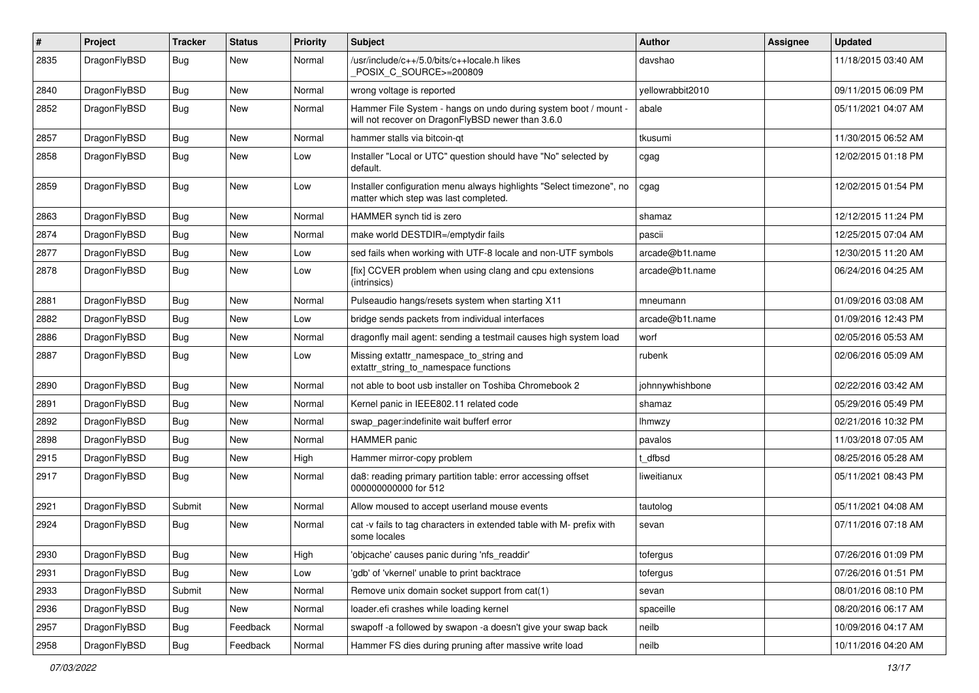| #    | Project      | <b>Tracker</b> | <b>Status</b> | <b>Priority</b> | Subject                                                                                                              | <b>Author</b>    | Assignee | <b>Updated</b>      |
|------|--------------|----------------|---------------|-----------------|----------------------------------------------------------------------------------------------------------------------|------------------|----------|---------------------|
| 2835 | DragonFlyBSD | Bug            | New           | Normal          | /usr/include/c++/5.0/bits/c++locale.h likes<br>POSIX_C_SOURCE>=200809                                                | davshao          |          | 11/18/2015 03:40 AM |
| 2840 | DragonFlyBSD | <b>Bug</b>     | New           | Normal          | wrong voltage is reported                                                                                            | yellowrabbit2010 |          | 09/11/2015 06:09 PM |
| 2852 | DragonFlyBSD | <b>Bug</b>     | <b>New</b>    | Normal          | Hammer File System - hangs on undo during system boot / mount -<br>will not recover on DragonFlyBSD newer than 3.6.0 | abale            |          | 05/11/2021 04:07 AM |
| 2857 | DragonFlyBSD | Bug            | New           | Normal          | hammer stalls via bitcoin-qt                                                                                         | tkusumi          |          | 11/30/2015 06:52 AM |
| 2858 | DragonFlyBSD | <b>Bug</b>     | New           | Low             | Installer "Local or UTC" question should have "No" selected by<br>default.                                           | cgag             |          | 12/02/2015 01:18 PM |
| 2859 | DragonFlyBSD | Bug            | New           | Low             | Installer configuration menu always highlights "Select timezone", no<br>matter which step was last completed.        | cgag             |          | 12/02/2015 01:54 PM |
| 2863 | DragonFlyBSD | <b>Bug</b>     | New           | Normal          | HAMMER synch tid is zero                                                                                             | shamaz           |          | 12/12/2015 11:24 PM |
| 2874 | DragonFlyBSD | <b>Bug</b>     | New           | Normal          | make world DESTDIR=/emptydir fails                                                                                   | pascii           |          | 12/25/2015 07:04 AM |
| 2877 | DragonFlyBSD | Bug            | New           | Low             | sed fails when working with UTF-8 locale and non-UTF symbols                                                         | arcade@b1t.name  |          | 12/30/2015 11:20 AM |
| 2878 | DragonFlyBSD | <b>Bug</b>     | New           | Low             | [fix] CCVER problem when using clang and cpu extensions<br>(intrinsics)                                              | arcade@b1t.name  |          | 06/24/2016 04:25 AM |
| 2881 | DragonFlyBSD | <b>Bug</b>     | New           | Normal          | Pulseaudio hangs/resets system when starting X11                                                                     | mneumann         |          | 01/09/2016 03:08 AM |
| 2882 | DragonFlyBSD | <b>Bug</b>     | <b>New</b>    | Low             | bridge sends packets from individual interfaces                                                                      | arcade@b1t.name  |          | 01/09/2016 12:43 PM |
| 2886 | DragonFlyBSD | Bug            | New           | Normal          | dragonfly mail agent: sending a testmail causes high system load                                                     | worf             |          | 02/05/2016 05:53 AM |
| 2887 | DragonFlyBSD | <b>Bug</b>     | <b>New</b>    | Low             | Missing extattr_namespace_to_string and<br>extattr_string_to_namespace functions                                     | rubenk           |          | 02/06/2016 05:09 AM |
| 2890 | DragonFlyBSD | Bug            | <b>New</b>    | Normal          | not able to boot usb installer on Toshiba Chromebook 2                                                               | johnnywhishbone  |          | 02/22/2016 03:42 AM |
| 2891 | DragonFlyBSD | <b>Bug</b>     | New           | Normal          | Kernel panic in IEEE802.11 related code                                                                              | shamaz           |          | 05/29/2016 05:49 PM |
| 2892 | DragonFlyBSD | <b>Bug</b>     | New           | Normal          | swap_pager:indefinite wait bufferf error                                                                             | <b>Ihmwzy</b>    |          | 02/21/2016 10:32 PM |
| 2898 | DragonFlyBSD | <b>Bug</b>     | <b>New</b>    | Normal          | <b>HAMMER</b> panic                                                                                                  | pavalos          |          | 11/03/2018 07:05 AM |
| 2915 | DragonFlyBSD | <b>Bug</b>     | New           | High            | Hammer mirror-copy problem                                                                                           | t dfbsd          |          | 08/25/2016 05:28 AM |
| 2917 | DragonFlyBSD | Bug            | New           | Normal          | da8: reading primary partition table: error accessing offset<br>000000000000 for 512                                 | liweitianux      |          | 05/11/2021 08:43 PM |
| 2921 | DragonFlyBSD | Submit         | New           | Normal          | Allow moused to accept userland mouse events                                                                         | tautolog         |          | 05/11/2021 04:08 AM |
| 2924 | DragonFlyBSD | Bug            | New           | Normal          | cat -v fails to tag characters in extended table with M- prefix with<br>some locales                                 | sevan            |          | 07/11/2016 07:18 AM |
| 2930 | DragonFlyBSD | <b>Bug</b>     | New           | High            | 'objcache' causes panic during 'nfs_readdir'                                                                         | tofergus         |          | 07/26/2016 01:09 PM |
| 2931 | DragonFlyBSD | Bug            | New           | Low             | 'gdb' of 'vkernel' unable to print backtrace                                                                         | tofergus         |          | 07/26/2016 01:51 PM |
| 2933 | DragonFlyBSD | Submit         | New           | Normal          | Remove unix domain socket support from cat(1)                                                                        | sevan            |          | 08/01/2016 08:10 PM |
| 2936 | DragonFlyBSD | Bug            | New           | Normal          | loader.efi crashes while loading kernel                                                                              | spaceille        |          | 08/20/2016 06:17 AM |
| 2957 | DragonFlyBSD | Bug            | Feedback      | Normal          | swapoff -a followed by swapon -a doesn't give your swap back                                                         | neilb            |          | 10/09/2016 04:17 AM |
| 2958 | DragonFlyBSD | Bug            | Feedback      | Normal          | Hammer FS dies during pruning after massive write load                                                               | neilb            |          | 10/11/2016 04:20 AM |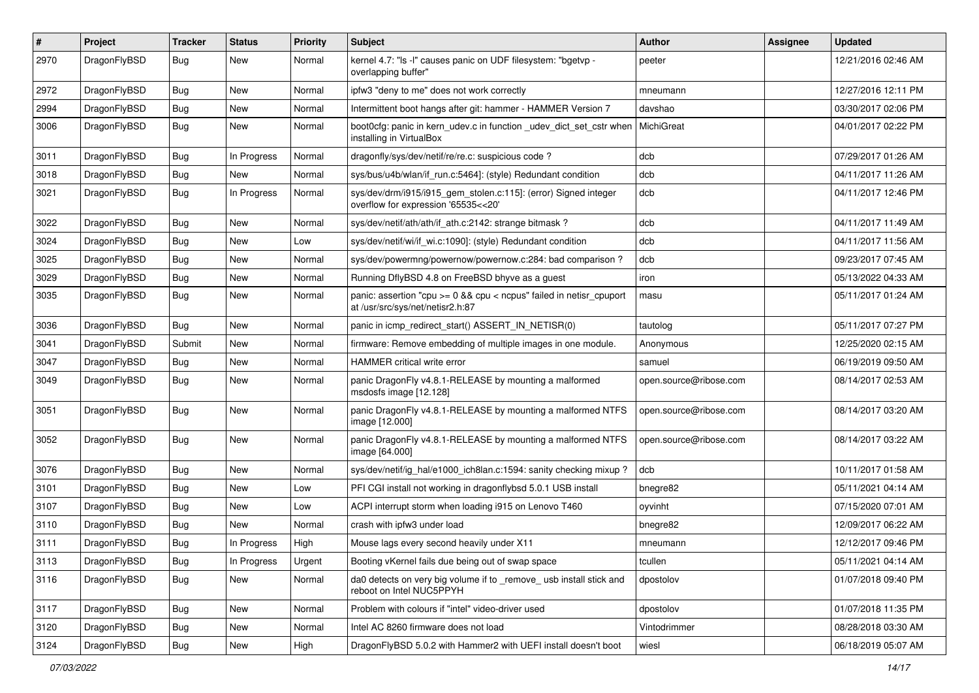| #    | Project      | <b>Tracker</b> | <b>Status</b> | <b>Priority</b> | Subject                                                                                                 | <b>Author</b>          | Assignee | <b>Updated</b>      |
|------|--------------|----------------|---------------|-----------------|---------------------------------------------------------------------------------------------------------|------------------------|----------|---------------------|
| 2970 | DragonFlyBSD | Bug            | <b>New</b>    | Normal          | kernel 4.7: "Is -I" causes panic on UDF filesystem: "bgetvp -<br>overlapping buffer"                    | peeter                 |          | 12/21/2016 02:46 AM |
| 2972 | DragonFlyBSD | <b>Bug</b>     | <b>New</b>    | Normal          | ipfw3 "deny to me" does not work correctly                                                              | mneumann               |          | 12/27/2016 12:11 PM |
| 2994 | DragonFlyBSD | <b>Bug</b>     | New           | Normal          | Intermittent boot hangs after git: hammer - HAMMER Version 7                                            | davshao                |          | 03/30/2017 02:06 PM |
| 3006 | DragonFlyBSD | Bug            | <b>New</b>    | Normal          | boot0cfg: panic in kern_udev.c in function _udev_dict_set_cstr when<br>installing in VirtualBox         | MichiGreat             |          | 04/01/2017 02:22 PM |
| 3011 | DragonFlyBSD | <b>Bug</b>     | In Progress   | Normal          | dragonfly/sys/dev/netif/re/re.c: suspicious code?                                                       | dcb                    |          | 07/29/2017 01:26 AM |
| 3018 | DragonFlyBSD | <b>Bug</b>     | New           | Normal          | sys/bus/u4b/wlan/if_run.c:5464]: (style) Redundant condition                                            | dcb                    |          | 04/11/2017 11:26 AM |
| 3021 | DragonFlyBSD | <b>Bug</b>     | In Progress   | Normal          | sys/dev/drm/i915/i915_gem_stolen.c:115]: (error) Signed integer<br>overflow for expression '65535<<20'  | dcb                    |          | 04/11/2017 12:46 PM |
| 3022 | DragonFlyBSD | <b>Bug</b>     | <b>New</b>    | Normal          | sys/dev/netif/ath/ath/if ath.c:2142: strange bitmask?                                                   | dcb                    |          | 04/11/2017 11:49 AM |
| 3024 | DragonFlyBSD | <b>Bug</b>     | New           | Low             | sys/dev/netif/wi/if wi.c:1090]: (style) Redundant condition                                             | dcb                    |          | 04/11/2017 11:56 AM |
| 3025 | DragonFlyBSD | <b>Bug</b>     | <b>New</b>    | Normal          | sys/dev/powermng/powernow/powernow.c:284: bad comparison?                                               | dcb                    |          | 09/23/2017 07:45 AM |
| 3029 | DragonFlyBSD | <b>Bug</b>     | <b>New</b>    | Normal          | Running DflyBSD 4.8 on FreeBSD bhyve as a guest                                                         | iron                   |          | 05/13/2022 04:33 AM |
| 3035 | DragonFlyBSD | Bug            | <b>New</b>    | Normal          | panic: assertion "cpu >= 0 && cpu < ncpus" failed in netisr_cpuport<br>at /usr/src/sys/net/netisr2.h:87 | masu                   |          | 05/11/2017 01:24 AM |
| 3036 | DragonFlyBSD | Bug            | <b>New</b>    | Normal          | panic in icmp_redirect_start() ASSERT_IN_NETISR(0)                                                      | tautolog               |          | 05/11/2017 07:27 PM |
| 3041 | DragonFlyBSD | Submit         | <b>New</b>    | Normal          | firmware: Remove embedding of multiple images in one module.                                            | Anonymous              |          | 12/25/2020 02:15 AM |
| 3047 | DragonFlyBSD | Bug            | New           | Normal          | HAMMER critical write error                                                                             | samuel                 |          | 06/19/2019 09:50 AM |
| 3049 | DragonFlyBSD | Bug            | <b>New</b>    | Normal          | panic DragonFly v4.8.1-RELEASE by mounting a malformed<br>msdosfs image [12.128]                        | open.source@ribose.com |          | 08/14/2017 02:53 AM |
| 3051 | DragonFlyBSD | Bug            | <b>New</b>    | Normal          | panic DragonFly v4.8.1-RELEASE by mounting a malformed NTFS<br>image [12.000]                           | open.source@ribose.com |          | 08/14/2017 03:20 AM |
| 3052 | DragonFlyBSD | Bug            | <b>New</b>    | Normal          | panic DragonFly v4.8.1-RELEASE by mounting a malformed NTFS<br>image [64.000]                           | open.source@ribose.com |          | 08/14/2017 03:22 AM |
| 3076 | DragonFlyBSD | Bug            | <b>New</b>    | Normal          | sys/dev/netif/ig_hal/e1000_ich8lan.c:1594: sanity checking mixup?                                       | dcb                    |          | 10/11/2017 01:58 AM |
| 3101 | DragonFlyBSD | <b>Bug</b>     | New           | Low             | PFI CGI install not working in dragonflybsd 5.0.1 USB install                                           | bnegre82               |          | 05/11/2021 04:14 AM |
| 3107 | DragonFlyBSD | <b>Bug</b>     | New           | Low             | ACPI interrupt storm when loading i915 on Lenovo T460                                                   | oyvinht                |          | 07/15/2020 07:01 AM |
| 3110 | DragonFlyBSD | <b>Bug</b>     | <b>New</b>    | Normal          | crash with ipfw3 under load                                                                             | bnegre82               |          | 12/09/2017 06:22 AM |
| 3111 | DragonFlyBSD | Bug            | In Progress   | High            | Mouse lags every second heavily under X11                                                               | mneumann               |          | 12/12/2017 09:46 PM |
| 3113 | DragonFlyBSD | Bug            | In Progress   | Urgent          | Booting vKernel fails due being out of swap space                                                       | tcullen                |          | 05/11/2021 04:14 AM |
| 3116 | DragonFlyBSD | <b>Bug</b>     | New           | Normal          | da0 detects on very big volume if to _remove_ usb install stick and<br>reboot on Intel NUC5PPYH         | dpostolov              |          | 01/07/2018 09:40 PM |
| 3117 | DragonFlyBSD | <b>Bug</b>     | New           | Normal          | Problem with colours if "intel" video-driver used                                                       | dpostolov              |          | 01/07/2018 11:35 PM |
| 3120 | DragonFlyBSD | <b>Bug</b>     | New           | Normal          | Intel AC 8260 firmware does not load                                                                    | Vintodrimmer           |          | 08/28/2018 03:30 AM |
| 3124 | DragonFlyBSD | <b>Bug</b>     | New           | High            | DragonFlyBSD 5.0.2 with Hammer2 with UEFI install doesn't boot                                          | wiesl                  |          | 06/18/2019 05:07 AM |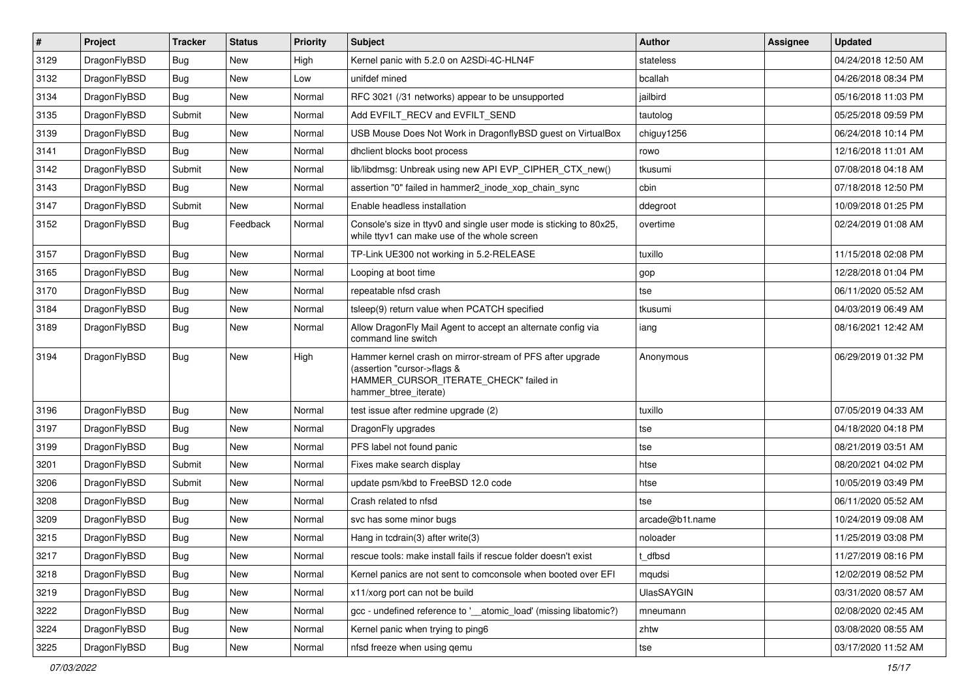| $\sharp$ | Project      | <b>Tracker</b> | <b>Status</b> | <b>Priority</b> | Subject                                                                                                                                                     | <b>Author</b>     | Assignee | <b>Updated</b>      |
|----------|--------------|----------------|---------------|-----------------|-------------------------------------------------------------------------------------------------------------------------------------------------------------|-------------------|----------|---------------------|
| 3129     | DragonFlyBSD | Bug            | New           | High            | Kernel panic with 5.2.0 on A2SDi-4C-HLN4F                                                                                                                   | stateless         |          | 04/24/2018 12:50 AM |
| 3132     | DragonFlyBSD | Bug            | <b>New</b>    | Low             | unifdef mined                                                                                                                                               | bcallah           |          | 04/26/2018 08:34 PM |
| 3134     | DragonFlyBSD | <b>Bug</b>     | New           | Normal          | RFC 3021 (/31 networks) appear to be unsupported                                                                                                            | jailbird          |          | 05/16/2018 11:03 PM |
| 3135     | DragonFlyBSD | Submit         | New           | Normal          | Add EVFILT RECV and EVFILT SEND                                                                                                                             | tautolog          |          | 05/25/2018 09:59 PM |
| 3139     | DragonFlyBSD | Bug            | <b>New</b>    | Normal          | USB Mouse Does Not Work in DragonflyBSD guest on VirtualBox                                                                                                 | chiguy1256        |          | 06/24/2018 10:14 PM |
| 3141     | DragonFlyBSD | Bug            | <b>New</b>    | Normal          | dhclient blocks boot process                                                                                                                                | rowo              |          | 12/16/2018 11:01 AM |
| 3142     | DragonFlyBSD | Submit         | New           | Normal          | lib/libdmsg: Unbreak using new API EVP CIPHER CTX new()                                                                                                     | tkusumi           |          | 07/08/2018 04:18 AM |
| 3143     | DragonFlyBSD | Bug            | New           | Normal          | assertion "0" failed in hammer2_inode_xop_chain_sync                                                                                                        | cbin              |          | 07/18/2018 12:50 PM |
| 3147     | DragonFlyBSD | Submit         | New           | Normal          | Enable headless installation                                                                                                                                | ddegroot          |          | 10/09/2018 01:25 PM |
| 3152     | DragonFlyBSD | <b>Bug</b>     | Feedback      | Normal          | Console's size in ttyv0 and single user mode is sticking to 80x25,<br>while ttyv1 can make use of the whole screen                                          | overtime          |          | 02/24/2019 01:08 AM |
| 3157     | DragonFlyBSD | Bug            | New           | Normal          | TP-Link UE300 not working in 5.2-RELEASE                                                                                                                    | tuxillo           |          | 11/15/2018 02:08 PM |
| 3165     | DragonFlyBSD | Bug            | <b>New</b>    | Normal          | Looping at boot time                                                                                                                                        | gop               |          | 12/28/2018 01:04 PM |
| 3170     | DragonFlyBSD | <b>Bug</b>     | New           | Normal          | repeatable nfsd crash                                                                                                                                       | tse               |          | 06/11/2020 05:52 AM |
| 3184     | DragonFlyBSD | Bug            | New           | Normal          | tsleep(9) return value when PCATCH specified                                                                                                                | tkusumi           |          | 04/03/2019 06:49 AM |
| 3189     | DragonFlyBSD | <b>Bug</b>     | <b>New</b>    | Normal          | Allow DragonFly Mail Agent to accept an alternate config via<br>command line switch                                                                         | iang              |          | 08/16/2021 12:42 AM |
| 3194     | DragonFlyBSD | <b>Bug</b>     | New           | High            | Hammer kernel crash on mirror-stream of PFS after upgrade<br>(assertion "cursor->flags &<br>HAMMER_CURSOR_ITERATE_CHECK" failed in<br>hammer_btree_iterate) | Anonymous         |          | 06/29/2019 01:32 PM |
| 3196     | DragonFlyBSD | <b>Bug</b>     | New           | Normal          | test issue after redmine upgrade (2)                                                                                                                        | tuxillo           |          | 07/05/2019 04:33 AM |
| 3197     | DragonFlyBSD | Bug            | New           | Normal          | DragonFly upgrades                                                                                                                                          | tse               |          | 04/18/2020 04:18 PM |
| 3199     | DragonFlyBSD | Bug            | New           | Normal          | PFS label not found panic                                                                                                                                   | tse               |          | 08/21/2019 03:51 AM |
| 3201     | DragonFlyBSD | Submit         | <b>New</b>    | Normal          | Fixes make search display                                                                                                                                   | htse              |          | 08/20/2021 04:02 PM |
| 3206     | DragonFlyBSD | Submit         | New           | Normal          | update psm/kbd to FreeBSD 12.0 code                                                                                                                         | htse              |          | 10/05/2019 03:49 PM |
| 3208     | DragonFlyBSD | Bug            | New           | Normal          | Crash related to nfsd                                                                                                                                       | tse               |          | 06/11/2020 05:52 AM |
| 3209     | DragonFlyBSD | <b>Bug</b>     | New           | Normal          | svc has some minor bugs                                                                                                                                     | arcade@b1t.name   |          | 10/24/2019 09:08 AM |
| 3215     | DragonFlyBSD | Bug            | <b>New</b>    | Normal          | Hang in tcdrain(3) after write(3)                                                                                                                           | noloader          |          | 11/25/2019 03:08 PM |
| 3217     | DragonFlyBSD | <b>Bug</b>     | <b>New</b>    | Normal          | rescue tools: make install fails if rescue folder doesn't exist                                                                                             | t_dfbsd           |          | 11/27/2019 08:16 PM |
| 3218     | DragonFlyBSD | <b>Bug</b>     | <b>New</b>    | Normal          | Kernel panics are not sent to comconsole when booted over EFI                                                                                               | mqudsi            |          | 12/02/2019 08:52 PM |
| 3219     | DragonFlyBSD | <b>Bug</b>     | New           | Normal          | x11/xorg port can not be build                                                                                                                              | <b>UlasSAYGIN</b> |          | 03/31/2020 08:57 AM |
| 3222     | DragonFlyBSD | <b>Bug</b>     | New           | Normal          | gcc - undefined reference to '__atomic_load' (missing libatomic?)                                                                                           | mneumann          |          | 02/08/2020 02:45 AM |
| 3224     | DragonFlyBSD | <b>Bug</b>     | New           | Normal          | Kernel panic when trying to ping6                                                                                                                           | zhtw              |          | 03/08/2020 08:55 AM |
| 3225     | DragonFlyBSD | <b>Bug</b>     | New           | Normal          | nfsd freeze when using gemu                                                                                                                                 | tse               |          | 03/17/2020 11:52 AM |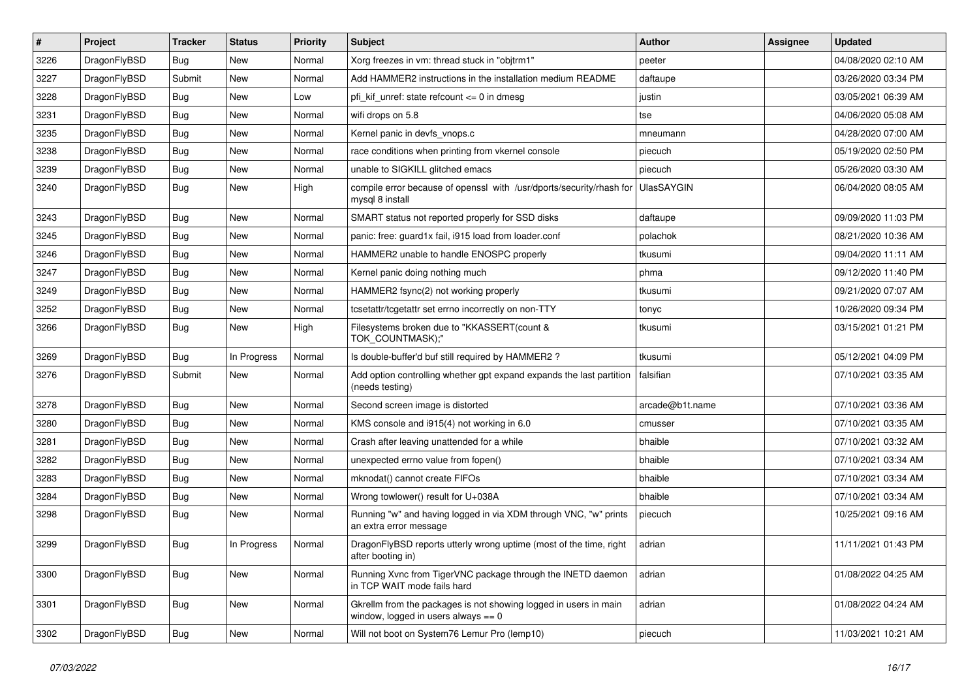| $\sharp$ | Project      | <b>Tracker</b> | <b>Status</b> | <b>Priority</b> | Subject                                                                                                   | <b>Author</b>     | Assignee | <b>Updated</b>      |
|----------|--------------|----------------|---------------|-----------------|-----------------------------------------------------------------------------------------------------------|-------------------|----------|---------------------|
| 3226     | DragonFlyBSD | <b>Bug</b>     | <b>New</b>    | Normal          | Xorg freezes in vm: thread stuck in "objtrm1"                                                             | peeter            |          | 04/08/2020 02:10 AM |
| 3227     | DragonFlyBSD | Submit         | New           | Normal          | Add HAMMER2 instructions in the installation medium README                                                | daftaupe          |          | 03/26/2020 03:34 PM |
| 3228     | DragonFlyBSD | <b>Bug</b>     | New           | Low             | pfi kif unref: state refcount $\leq$ 0 in dmesg                                                           | justin            |          | 03/05/2021 06:39 AM |
| 3231     | DragonFlyBSD | <b>Bug</b>     | New           | Normal          | wifi drops on 5.8                                                                                         | tse               |          | 04/06/2020 05:08 AM |
| 3235     | DragonFlyBSD | Bug            | <b>New</b>    | Normal          | Kernel panic in devfs vnops.c                                                                             | mneumann          |          | 04/28/2020 07:00 AM |
| 3238     | DragonFlyBSD | Bug            | <b>New</b>    | Normal          | race conditions when printing from vkernel console                                                        | piecuch           |          | 05/19/2020 02:50 PM |
| 3239     | DragonFlyBSD | Bug            | New           | Normal          | unable to SIGKILL glitched emacs                                                                          | piecuch           |          | 05/26/2020 03:30 AM |
| 3240     | DragonFlyBSD | <b>Bug</b>     | <b>New</b>    | High            | compile error because of openssl with /usr/dports/security/rhash for<br>mysql 8 install                   | <b>UlasSAYGIN</b> |          | 06/04/2020 08:05 AM |
| 3243     | DragonFlyBSD | Bug            | <b>New</b>    | Normal          | SMART status not reported properly for SSD disks                                                          | daftaupe          |          | 09/09/2020 11:03 PM |
| 3245     | DragonFlyBSD | <b>Bug</b>     | New           | Normal          | panic: free: guard1x fail, i915 load from loader.conf                                                     | polachok          |          | 08/21/2020 10:36 AM |
| 3246     | DragonFlyBSD | <b>Bug</b>     | New           | Normal          | HAMMER2 unable to handle ENOSPC properly                                                                  | tkusumi           |          | 09/04/2020 11:11 AM |
| 3247     | DragonFlyBSD | <b>Bug</b>     | New           | Normal          | Kernel panic doing nothing much                                                                           | phma              |          | 09/12/2020 11:40 PM |
| 3249     | DragonFlyBSD | <b>Bug</b>     | <b>New</b>    | Normal          | HAMMER2 fsync(2) not working properly                                                                     | tkusumi           |          | 09/21/2020 07:07 AM |
| 3252     | DragonFlyBSD | Bug            | New           | Normal          | tcsetattr/tcgetattr set errno incorrectly on non-TTY                                                      | tonyc             |          | 10/26/2020 09:34 PM |
| 3266     | DragonFlyBSD | <b>Bug</b>     | <b>New</b>    | High            | Filesystems broken due to "KKASSERT(count &<br>TOK_COUNTMASK);"                                           | tkusumi           |          | 03/15/2021 01:21 PM |
| 3269     | DragonFlyBSD | <b>Bug</b>     | In Progress   | Normal          | Is double-buffer'd buf still required by HAMMER2 ?                                                        | tkusumi           |          | 05/12/2021 04:09 PM |
| 3276     | DragonFlyBSD | Submit         | New           | Normal          | Add option controlling whether gpt expand expands the last partition<br>(needs testing)                   | falsifian         |          | 07/10/2021 03:35 AM |
| 3278     | DragonFlyBSD | Bug            | <b>New</b>    | Normal          | Second screen image is distorted                                                                          | arcade@b1t.name   |          | 07/10/2021 03:36 AM |
| 3280     | DragonFlyBSD | Bug            | <b>New</b>    | Normal          | KMS console and i915(4) not working in 6.0                                                                | cmusser           |          | 07/10/2021 03:35 AM |
| 3281     | DragonFlyBSD | Bug            | <b>New</b>    | Normal          | Crash after leaving unattended for a while                                                                | bhaible           |          | 07/10/2021 03:32 AM |
| 3282     | DragonFlyBSD | <b>Bug</b>     | <b>New</b>    | Normal          | unexpected errno value from fopen()                                                                       | bhaible           |          | 07/10/2021 03:34 AM |
| 3283     | DragonFlyBSD | <b>Bug</b>     | New           | Normal          | mknodat() cannot create FIFOs                                                                             | bhaible           |          | 07/10/2021 03:34 AM |
| 3284     | DragonFlyBSD | Bug            | New           | Normal          | Wrong towlower() result for U+038A                                                                        | bhaible           |          | 07/10/2021 03:34 AM |
| 3298     | DragonFlyBSD | <b>Bug</b>     | New           | Normal          | Running "w" and having logged in via XDM through VNC, "w" prints<br>an extra error message                | piecuch           |          | 10/25/2021 09:16 AM |
| 3299     | DragonFlyBSD | Bug            | In Progress   | Normal          | DragonFlyBSD reports utterly wrong uptime (most of the time, right<br>after booting in)                   | adrian            |          | 11/11/2021 01:43 PM |
| 3300     | DragonFlyBSD | <b>Bug</b>     | New           | Normal          | Running Xvnc from TigerVNC package through the INETD daemon<br>in TCP WAIT mode fails hard                | adrian            |          | 01/08/2022 04:25 AM |
| 3301     | DragonFlyBSD | <b>Bug</b>     | <b>New</b>    | Normal          | Gkrellm from the packages is not showing logged in users in main<br>window, logged in users always $== 0$ | adrian            |          | 01/08/2022 04:24 AM |
| 3302     | DragonFlyBSD | <b>Bug</b>     | New           | Normal          | Will not boot on System76 Lemur Pro (lemp10)                                                              | piecuch           |          | 11/03/2021 10:21 AM |